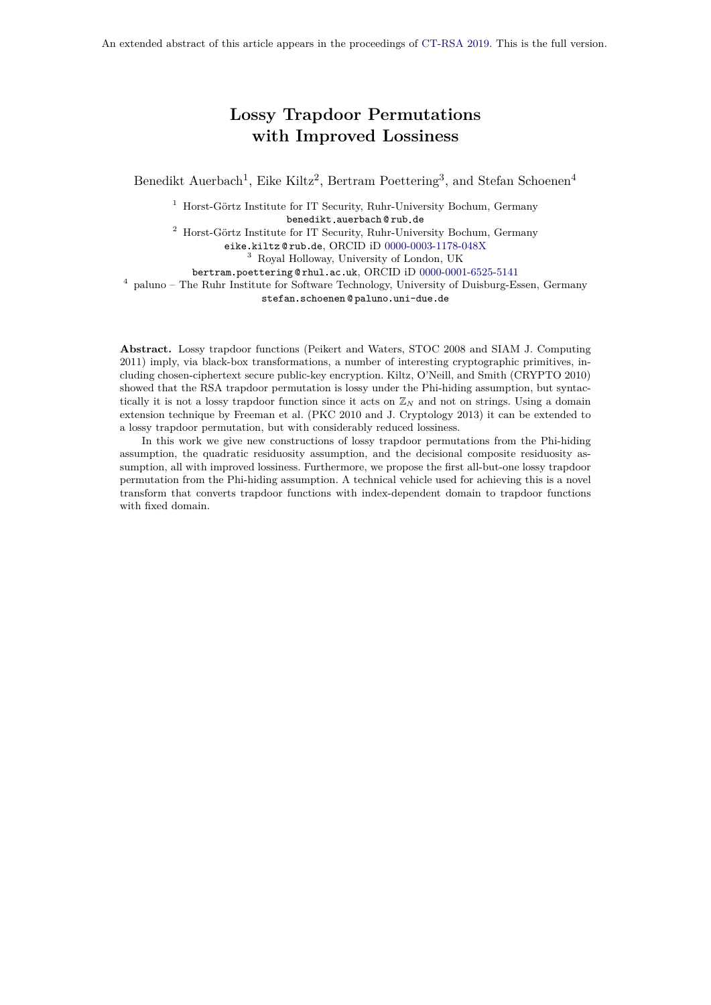# **Lossy Trapdoor Permutations with Improved Lossiness**

Benedikt Auerbach<sup>1</sup>, Eike Kiltz<sup>2</sup>, Bertram Poettering<sup>3</sup>, and Stefan Schoenen<sup>4</sup>

 $^{\rm 1}$  Horst-Görtz Institute for IT Security, Ruhr-University Bochum, Germany benedikt auerbach @ rub de

 $^{\rm 2}$  Horst-Görtz Institute for IT Security, Ruhr-University Bochum, Germany

eike kiltz @ rub de, ORCID iD [0000-0003-1178-048X](https://orcid.org/0000-0003-1178-048X)

<sup>3</sup> Royal Holloway, University of London, UK

bertram poettering @ rhul ac uk, ORCID iD [0000-0001-6525-5141](https://orcid.org/0000-0001-6525-5141)

<sup>4</sup> paluno – The Ruhr Institute for Software Technology, University of Duisburg-Essen, Germany stefan schoenen @ paluno uni-due de

**Abstract.** Lossy trapdoor functions (Peikert and Waters, STOC 2008 and SIAM J. Computing 2011) imply, via black-box transformations, a number of interesting cryptographic primitives, including chosen-ciphertext secure public-key encryption. Kiltz, O'Neill, and Smith (CRYPTO 2010) showed that the RSA trapdoor permutation is lossy under the Phi-hiding assumption, but syntactically it is not a lossy trapdoor function since it acts on  $\mathbb{Z}_N$  and not on strings. Using a domain extension technique by Freeman et al. (PKC 2010 and J. Cryptology 2013) it can be extended to a lossy trapdoor permutation, but with considerably reduced lossiness.

In this work we give new constructions of lossy trapdoor permutations from the Phi-hiding assumption, the quadratic residuosity assumption, and the decisional composite residuosity assumption, all with improved lossiness. Furthermore, we propose the first all-but-one lossy trapdoor permutation from the Phi-hiding assumption. A technical vehicle used for achieving this is a novel transform that converts trapdoor functions with index-dependent domain to trapdoor functions with fixed domain.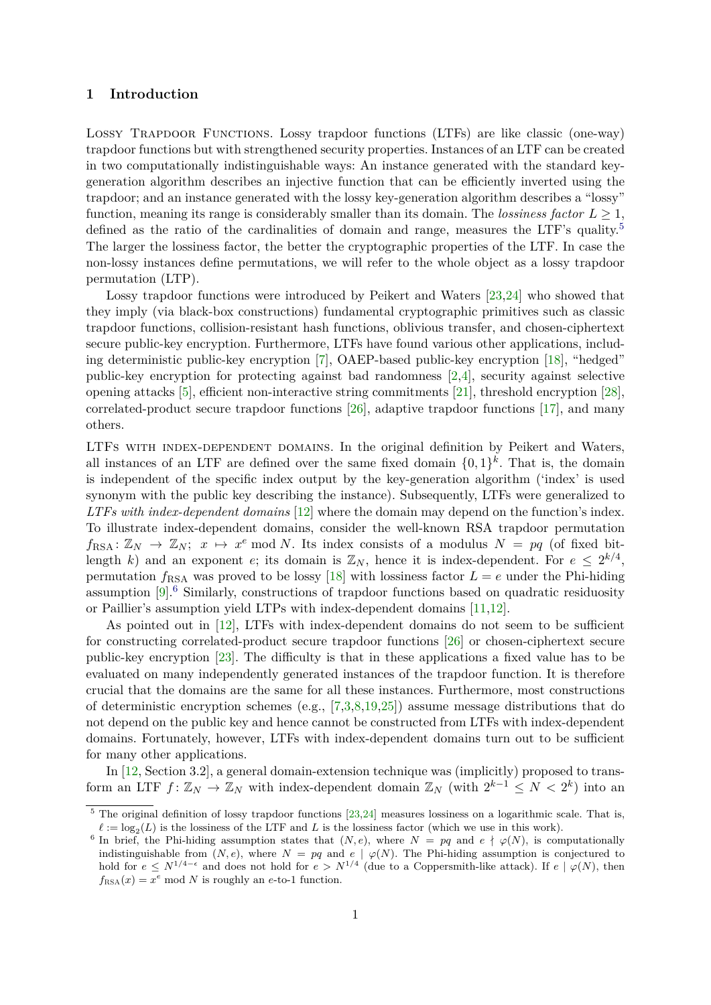## **1 Introduction**

LOSSY TRAPDOOR FUNCTIONS. Lossy trapdoor functions (LTFs) are like classic (one-way) trapdoor functions but with strengthened security properties. Instances of an LTF can be created in two computationally indistinguishable ways: An instance generated with the standard keygeneration algorithm describes an injective function that can be efficiently inverted using the trapdoor; and an instance generated with the lossy key-generation algorithm describes a "lossy" function, meaning its range is considerably smaller than its domain. The *lossiness factor*  $L \geq 1$ , defined as the ratio of the cardinalities of domain and range, measures the LTF's quality.<sup>[5](#page-1-0)</sup> The larger the lossiness factor, the better the cryptographic properties of the LTF. In case the non-lossy instances define permutations, we will refer to the whole object as a lossy trapdoor permutation (LTP).

Lossy trapdoor functions were introduced by Peikert and Waters [\[23,](#page-23-0)[24\]](#page-23-1) who showed that they imply (via black-box constructions) fundamental cryptographic primitives such as classic trapdoor functions, collision-resistant hash functions, oblivious transfer, and chosen-ciphertext secure public-key encryption. Furthermore, LTFs have found various other applications, including deterministic public-key encryption [\[7\]](#page-23-2), OAEP-based public-key encryption [\[18\]](#page-23-3), "hedged" public-key encryption for protecting against bad randomness [\[2](#page-23-4)[,4\]](#page-23-5), security against selective opening attacks [\[5\]](#page-23-6), efficient non-interactive string commitments [\[21\]](#page-23-7), threshold encryption [\[28\]](#page-24-0), correlated-product secure trapdoor functions [\[26\]](#page-24-1), adaptive trapdoor functions [\[17\]](#page-23-8), and many others.

LTFS WITH INDEX-DEPENDENT DOMAINS. In the original definition by Peikert and Waters, all instances of an LTF are defined over the same fixed domain  $\{0,1\}^k$ . That is, the domain is independent of the specific index output by the key-generation algorithm ('index' is used synonym with the public key describing the instance). Subsequently, LTFs were generalized to *LTFs with index-dependent domains* [\[12\]](#page-23-9) where the domain may depend on the function's index. To illustrate index-dependent domains, consider the well-known RSA trapdoor permutation  $f_{\text{RSA}}: \mathbb{Z}_N \to \mathbb{Z}_N$ ;  $x \mapsto x^e \mod N$ . Its index consists of a modulus  $N = pq$  (of fixed bitlength *k*) and an exponent *e*; its domain is  $\mathbb{Z}_N$ , hence it is index-dependent. For  $e \leq 2^{k/4}$ , permutation  $f_{\text{RSA}}$  was proved to be lossy [\[18\]](#page-23-3) with lossiness factor  $L = e$  under the Phi-hiding assumption  $[9]$ <sup>[6](#page-1-1)</sup> Similarly, constructions of trapdoor functions based on quadratic residuosity or Paillier's assumption yield LTPs with index-dependent domains [\[11](#page-23-11)[,12\]](#page-23-9).

As pointed out in [\[12\]](#page-23-9), LTFs with index-dependent domains do not seem to be sufficient for constructing correlated-product secure trapdoor functions [\[26\]](#page-24-1) or chosen-ciphertext secure public-key encryption [\[23\]](#page-23-0). The difficulty is that in these applications a fixed value has to be evaluated on many independently generated instances of the trapdoor function. It is therefore crucial that the domains are the same for all these instances. Furthermore, most constructions of deterministic encryption schemes (e.g.,  $[7,3,8,19,25]$  $[7,3,8,19,25]$  $[7,3,8,19,25]$  $[7,3,8,19,25]$  $[7,3,8,19,25]$ ) assume message distributions that do not depend on the public key and hence cannot be constructed from LTFs with index-dependent domains. Fortunately, however, LTFs with index-dependent domains turn out to be sufficient for many other applications.

In [\[12,](#page-23-9) Section 3.2], a general domain-extension technique was (implicitly) proposed to transform an LTF  $f: \mathbb{Z}_N \to \mathbb{Z}_N$  with index-dependent domain  $\mathbb{Z}_N$  (with  $2^{k-1} \leq N < 2^k$ ) into an

<span id="page-1-0"></span> $5$  The original definition of lossy trapdoor functions [\[23,](#page-23-0)[24\]](#page-23-1) measures lossiness on a logarithmic scale. That is,  $\ell := \log_2(L)$  is the lossiness of the LTF and *L* is the lossiness factor (which we use in this work).

<span id="page-1-1"></span><sup>&</sup>lt;sup>6</sup> In brief, the Phi-hiding assumption states that  $(N, e)$ , where  $N = pq$  and  $e \nmid \varphi(N)$ , is computationally indistinguishable from  $(N, e)$ , where  $N = pq$  and  $e \mid \varphi(N)$ . The Phi-hiding assumption is conjectured to hold for  $e \leq N^{1/4-\epsilon}$  and does not hold for  $e > N^{1/4}$  (due to a Coppersmith-like attack). If  $e \mid \varphi(N)$ , then  $f_{\text{RSA}}(x) = x^e \mod N$  is roughly an *e*-to-1 function.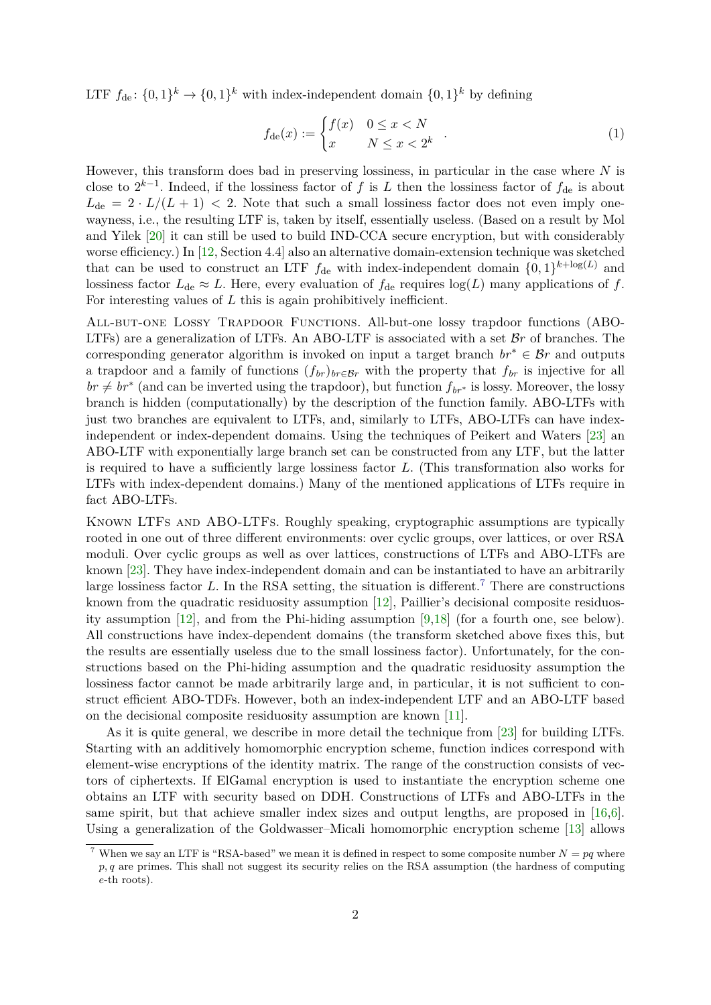LTF  $f_{\text{de}}: \{0,1\}^k \to \{0,1\}^k$  with index-independent domain  $\{0,1\}^k$  by defining

<span id="page-2-1"></span>
$$
f_{\text{de}}(x) := \begin{cases} f(x) & 0 \le x < N \\ x & N \le x < 2^k \end{cases} \tag{1}
$$

However, this transform does bad in preserving lossiness, in particular in the case where *N* is close to  $2^{k-1}$ . Indeed, if the lossiness factor of *f* is *L* then the lossiness factor of  $f_{\text{de}}$  is about  $L_{\text{de}} = 2 \cdot L/(L+1) < 2$ . Note that such a small lossiness factor does not even imply onewayness, i.e., the resulting LTF is, taken by itself, essentially useless. (Based on a result by Mol and Yilek [\[20\]](#page-23-15) it can still be used to build IND-CCA secure encryption, but with considerably worse efficiency.) In [\[12,](#page-23-9) Section 4.4] also an alternative domain-extension technique was sketched that can be used to construct an LTF  $f_{\text{de}}$  with index-independent domain  $\{0,1\}^{k+\log(L)}$  and lossiness factor  $L_{\text{de}} \approx L$ . Here, every evaluation of  $f_{\text{de}}$  requires  $\log(L)$  many applications of *f*. For interesting values of *L* this is again prohibitively inefficient.

All-but-one Lossy Trapdoor Functions. All-but-one lossy trapdoor functions (ABO-LTFs) are a generalization of LTFs. An ABO-LTF is associated with a set B*r* of branches. The corresponding generator algorithm is invoked on input a target branch  $br^* \in \mathcal{B}r$  and outputs a trapdoor and a family of functions  $(f_{br})_{br\in\mathcal{B}r}$  with the property that  $f_{br}$  is injective for all  $br \neq br^*$  (and can be inverted using the trapdoor), but function  $f_{br^*}$  is lossy. Moreover, the lossy branch is hidden (computationally) by the description of the function family. ABO-LTFs with just two branches are equivalent to LTFs, and, similarly to LTFs, ABO-LTFs can have indexindependent or index-dependent domains. Using the techniques of Peikert and Waters [\[23\]](#page-23-0) an ABO-LTF with exponentially large branch set can be constructed from any LTF, but the latter is required to have a sufficiently large lossiness factor *L*. (This transformation also works for LTFs with index-dependent domains.) Many of the mentioned applications of LTFs require in fact ABO-LTFs.

Known LTFs and ABO-LTFs. Roughly speaking, cryptographic assumptions are typically rooted in one out of three different environments: over cyclic groups, over lattices, or over RSA moduli. Over cyclic groups as well as over lattices, constructions of LTFs and ABO-LTFs are known [\[23\]](#page-23-0). They have index-independent domain and can be instantiated to have an arbitrarily large lossiness factor *L*. In the RSA setting, the situation is different.<sup>[7](#page-2-0)</sup> There are constructions known from the quadratic residuosity assumption  $[12]$ , Paillier's decisional composite residuosity assumption [\[12\]](#page-23-9), and from the Phi-hiding assumption [\[9](#page-23-10)[,18\]](#page-23-3) (for a fourth one, see below). All constructions have index-dependent domains (the transform sketched above fixes this, but the results are essentially useless due to the small lossiness factor). Unfortunately, for the constructions based on the Phi-hiding assumption and the quadratic residuosity assumption the lossiness factor cannot be made arbitrarily large and, in particular, it is not sufficient to construct efficient ABO-TDFs. However, both an index-independent LTF and an ABO-LTF based on the decisional composite residuosity assumption are known [\[11\]](#page-23-11).

As it is quite general, we describe in more detail the technique from [\[23\]](#page-23-0) for building LTFs. Starting with an additively homomorphic encryption scheme, function indices correspond with element-wise encryptions of the identity matrix. The range of the construction consists of vectors of ciphertexts. If ElGamal encryption is used to instantiate the encryption scheme one obtains an LTF with security based on DDH. Constructions of LTFs and ABO-LTFs in the same spirit, but that achieve smaller index sizes and output lengths, are proposed in [\[16,](#page-23-16)[6\]](#page-23-17). Using a generalization of the Goldwasser–Micali homomorphic encryption scheme [\[13\]](#page-23-18) allows

<span id="page-2-0"></span><sup>&</sup>lt;sup>7</sup> When we say an LTF is "RSA-based" we mean it is defined in respect to some composite number  $N = pq$  where *p, q* are primes. This shall not suggest its security relies on the RSA assumption (the hardness of computing *e*-th roots).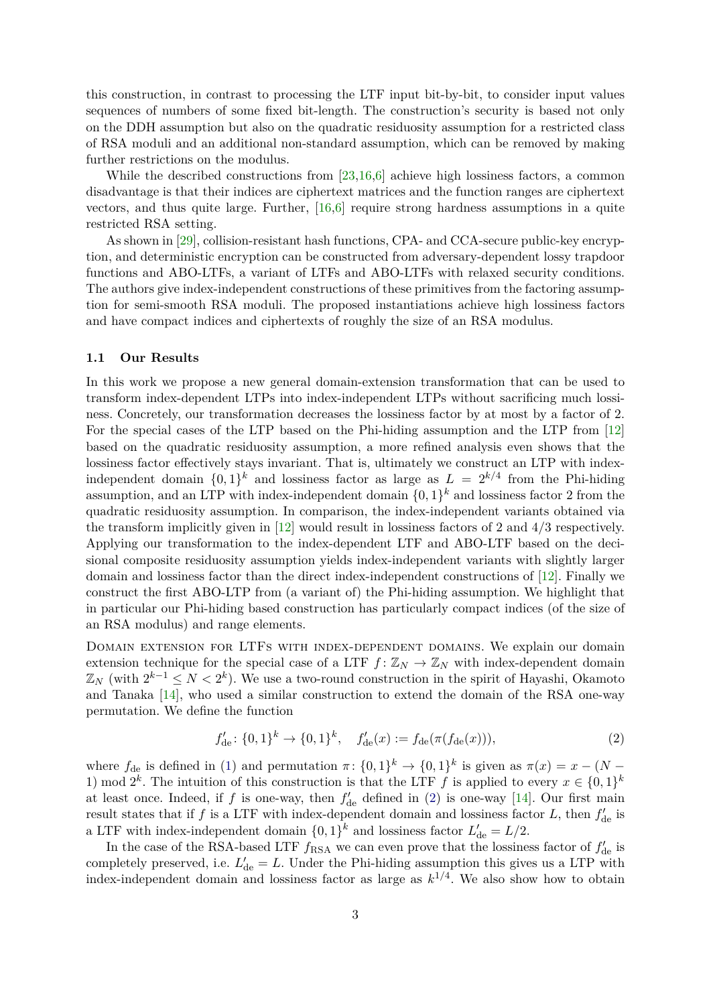this construction, in contrast to processing the LTF input bit-by-bit, to consider input values sequences of numbers of some fixed bit-length. The construction's security is based not only on the DDH assumption but also on the quadratic residuosity assumption for a restricted class of RSA moduli and an additional non-standard assumption, which can be removed by making further restrictions on the modulus.

While the described constructions from [\[23](#page-23-0)[,16](#page-23-16)[,6\]](#page-23-17) achieve high lossiness factors, a common disadvantage is that their indices are ciphertext matrices and the function ranges are ciphertext vectors, and thus quite large. Further, [\[16,](#page-23-16)[6\]](#page-23-17) require strong hardness assumptions in a quite restricted RSA setting.

As shown in [\[29\]](#page-24-3), collision-resistant hash functions, CPA- and CCA-secure public-key encryption, and deterministic encryption can be constructed from adversary-dependent lossy trapdoor functions and ABO-LTFs, a variant of LTFs and ABO-LTFs with relaxed security conditions. The authors give index-independent constructions of these primitives from the factoring assumption for semi-smooth RSA moduli. The proposed instantiations achieve high lossiness factors and have compact indices and ciphertexts of roughly the size of an RSA modulus.

#### **1.1 Our Results**

In this work we propose a new general domain-extension transformation that can be used to transform index-dependent LTPs into index-independent LTPs without sacrificing much lossiness. Concretely, our transformation decreases the lossiness factor by at most by a factor of 2. For the special cases of the LTP based on the Phi-hiding assumption and the LTP from [\[12\]](#page-23-9) based on the quadratic residuosity assumption, a more refined analysis even shows that the lossiness factor effectively stays invariant. That is, ultimately we construct an LTP with indexindependent domain  $\{0,1\}^k$  and lossiness factor as large as  $L = 2^{k/4}$  from the Phi-hiding assumption, and an LTP with index-independent domain  $\{0,1\}^k$  and lossiness factor 2 from the quadratic residuosity assumption. In comparison, the index-independent variants obtained via the transform implicitly given in [\[12\]](#page-23-9) would result in lossiness factors of 2 and 4*/*3 respectively. Applying our transformation to the index-dependent LTF and ABO-LTF based on the decisional composite residuosity assumption yields index-independent variants with slightly larger domain and lossiness factor than the direct index-independent constructions of [\[12\]](#page-23-9). Finally we construct the first ABO-LTP from (a variant of) the Phi-hiding assumption. We highlight that in particular our Phi-hiding based construction has particularly compact indices (of the size of an RSA modulus) and range elements.

Domain extension for LTFs with index-dependent domains. We explain our domain extension technique for the special case of a LTF  $f: \mathbb{Z}_N \to \mathbb{Z}_N$  with index-dependent domain  $\mathbb{Z}_N$  (with  $2^{k-1} \leq N < 2^k$ ). We use a two-round construction in the spirit of Hayashi, Okamoto and Tanaka [\[14\]](#page-23-19), who used a similar construction to extend the domain of the RSA one-way permutation. We define the function

<span id="page-3-0"></span>
$$
f'_{\text{de}} \colon \{0,1\}^k \to \{0,1\}^k, \quad f'_{\text{de}}(x) := f_{\text{de}}(\pi(f_{\text{de}}(x))), \tag{2}
$$

where  $f_{\text{de}}$  is defined in [\(1\)](#page-2-1) and permutation  $\pi$ :  $\{0,1\}^k \to \{0,1\}^k$  is given as  $\pi(x) = x - (N -$ 1) mod  $2^k$ . The intuition of this construction is that the LTF *f* is applied to every  $x \in \{0,1\}^k$ at least once. Indeed, if  $f$  is one-way, then  $f'_{de}$  defined in [\(2\)](#page-3-0) is one-way [\[14\]](#page-23-19). Our first main result states that if  $f$  is a LTF with index-dependent domain and lossiness factor  $L$ , then  $f'_{\text{de}}$  is a LTF with index-independent domain  $\{0,1\}^k$  and lossiness factor  $L'_{\text{de}} = L/2$ .

In the case of the RSA-based LTF  $f_{\text{RSA}}$  we can even prove that the lossiness factor of  $f'_{\text{de}}$  is completely preserved, i.e.  $L'_{\text{de}} = L$ . Under the Phi-hiding assumption this gives us a LTP with index-independent domain and lossiness factor as large as  $k^{1/4}$ . We also show how to obtain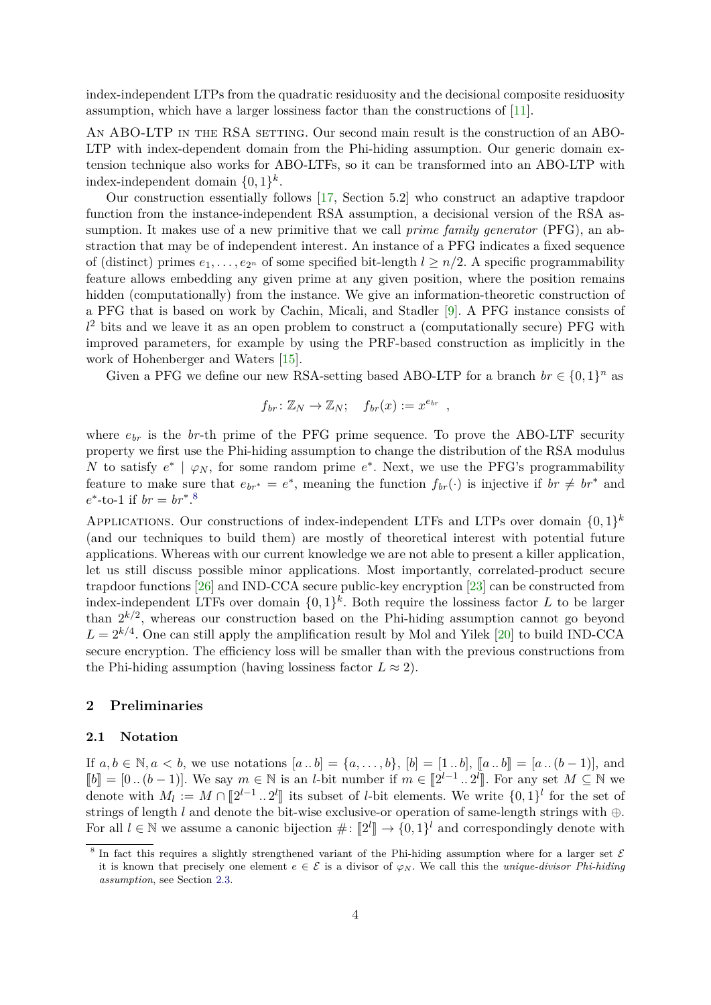index-independent LTPs from the quadratic residuosity and the decisional composite residuosity assumption, which have a larger lossiness factor than the constructions of [\[11\]](#page-23-11).

AN ABO-LTP IN THE RSA SETTING. Our second main result is the construction of an ABO-LTP with index-dependent domain from the Phi-hiding assumption. Our generic domain extension technique also works for ABO-LTFs, so it can be transformed into an ABO-LTP with index-independent domain  $\{0,1\}^k$ .

Our construction essentially follows [\[17,](#page-23-8) Section 5.2] who construct an adaptive trapdoor function from the instance-independent RSA assumption, a decisional version of the RSA assumption. It makes use of a new primitive that we call *prime family generator* (PFG), an abstraction that may be of independent interest. An instance of a PFG indicates a fixed sequence of (distinct) primes  $e_1, \ldots, e_{2^n}$  of some specified bit-length  $l \geq n/2$ . A specific programmability feature allows embedding any given prime at any given position, where the position remains hidden (computationally) from the instance. We give an information-theoretic construction of a PFG that is based on work by Cachin, Micali, and Stadler [\[9\]](#page-23-10). A PFG instance consists of  $l<sup>2</sup>$  bits and we leave it as an open problem to construct a (computationally secure) PFG with improved parameters, for example by using the PRF-based construction as implicitly in the work of Hohenberger and Waters [\[15\]](#page-23-20).

Given a PFG we define our new RSA-setting based ABO-LTP for a branch  $br \in \{0,1\}^n$  as

$$
f_{br}: \mathbb{Z}_N \to \mathbb{Z}_N; \quad f_{br}(x) := x^{e_{br}} ,
$$

where  $e_{br}$  is the *br*-th prime of the PFG prime sequence. To prove the ABO-LTF security property we first use the Phi-hiding assumption to change the distribution of the RSA modulus *N* to satisfy  $e^*$  |  $\varphi_N$ , for some random prime  $e^*$ . Next, we use the PFG's programmability feature to make sure that  $e_{br^*} = e^*$ , meaning the function  $f_{br}(\cdot)$  is injective if  $br \neq br^*$  and  $e^*$ -to-1 if  $br = br^*$ .<sup>[8](#page-4-0)</sup>

APPLICATIONS. Our constructions of index-independent LTFs and LTPs over domain  $\{0,1\}^k$ (and our techniques to build them) are mostly of theoretical interest with potential future applications. Whereas with our current knowledge we are not able to present a killer application, let us still discuss possible minor applications. Most importantly, correlated-product secure trapdoor functions [\[26\]](#page-24-1) and IND-CCA secure public-key encryption [\[23\]](#page-23-0) can be constructed from index-independent LTFs over domain  $\{0,1\}^k$ . Both require the lossiness factor *L* to be larger than  $2^{k/2}$ , whereas our construction based on the Phi-hiding assumption cannot go beyond  $L = 2^{k/4}$ . One can still apply the amplification result by Mol and Yilek [\[20\]](#page-23-15) to build IND-CCA secure encryption. The efficiency loss will be smaller than with the previous constructions from the Phi-hiding assumption (having lossiness factor  $L \approx 2$ ).

## **2 Preliminaries**

## <span id="page-4-1"></span>**2.1 Notation**

If *a*, *b* ∈ N, *a* < *b*, we use notations  $[a \dots b] = \{a, \dots, b\}$ ,  $[b] = [1 \dots b]$ ,  $[a \dots b] = [a \dots (b-1)]$ , and  $\llbracket b \rrbracket = [0 \dots (b-1)]$ . We say  $m \in \mathbb{N}$  is an *l*-bit number if  $m \in \llbracket 2^{l-1} \dots 2^l \rrbracket$ . For any set  $M \subseteq \mathbb{N}$  we denote with  $M \subseteq M \cap \llbracket 0^{l-1} \cdot 2^{l} \rrbracket$ , its subset of *l* bit elements. We write  $\llbracket 0, 1 \rrbracket$ denote with  $M_l := M \cap [2^{l-1} \dots 2^l]$  its subset of *l*-bit elements. We write  $\{0,1\}^l$  for the set of <br>expiring of length *l* and denote the bit wise exclusive or exerction of same length strings with  $\oplus$ strings of length *l* and denote the bit-wise exclusive-or operation of same-length strings with ⊕. For all  $l \in \mathbb{N}$  we assume a canonic bijection  $\# \colon \llbracket 2^l \rrbracket \to \{0,1\}^l$  and correspondingly denote with

<span id="page-4-0"></span><sup>&</sup>lt;sup>8</sup> In fact this requires a slightly strengthened variant of the Phi-hiding assumption where for a larger set  $\mathcal E$ it is known that precisely one element  $e \in \mathcal{E}$  is a divisor of  $\varphi_N$ . We call this the *unique-divisor Phi-hiding assumption*, see Section [2.3.](#page-6-0)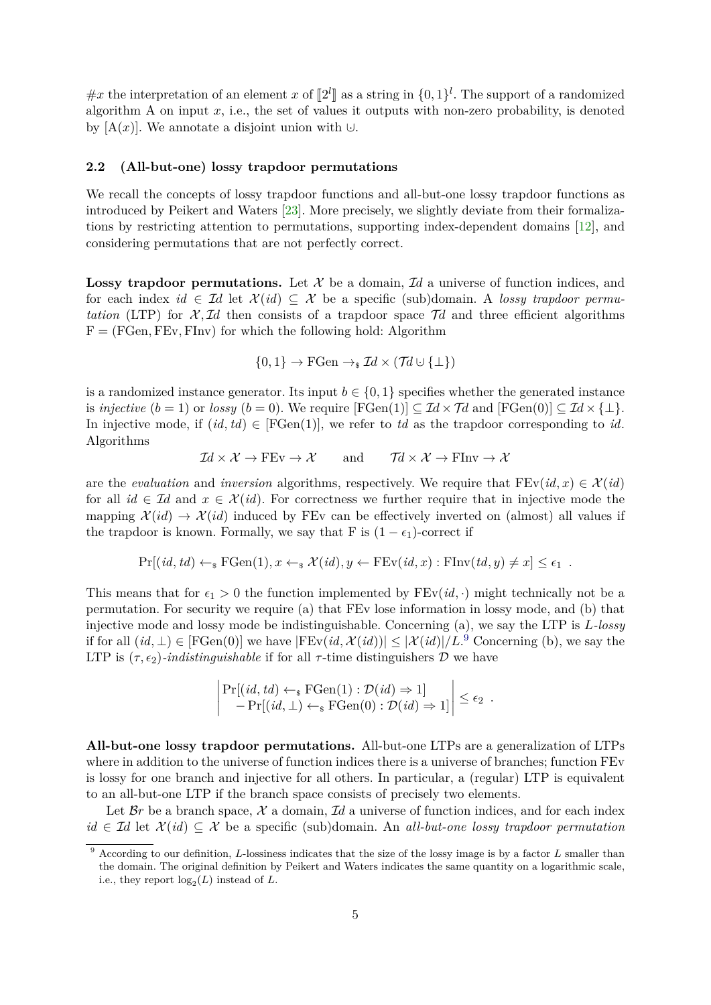$\#x$  the interpretation of an element *x* of  $[2^l]$  as a string in  $\{0,1\}^l$ . The support of a randomized<br>algorithm A on input *x* i.e., the set of values it sutputs with non-zero probability is denoted algorithm A on input  $x$ , i.e., the set of values it outputs with non-zero probability, is denoted by  $[A(x)]$ . We annotate a disjoint union with  $\cup$ .

## **2.2 (All-but-one) lossy trapdoor permutations**

We recall the concepts of lossy trapdoor functions and all-but-one lossy trapdoor functions as introduced by Peikert and Waters [\[23\]](#page-23-0). More precisely, we slightly deviate from their formalizations by restricting attention to permutations, supporting index-dependent domains [\[12\]](#page-23-9), and considering permutations that are not perfectly correct.

**Lossy trapdoor permutations.** Let  $\mathcal{X}$  be a domain,  $\mathcal{I}d$  a universe of function indices, and for each index  $id \in \mathcal{I}d$  let  $\mathcal{X}(id) \subseteq \mathcal{X}$  be a specific (sub)domain. A *lossy trapdoor permutation* (LTP) for  $\mathcal{X}, \mathcal{I}d$  then consists of a trapdoor space  $\mathcal{T}d$  and three efficient algorithms  $F = (FGen, FEv, FINv)$  for which the following hold: Algorithm

$$
\{0,1\} \to \text{FGen} \to_* \mathcal{I}d \times (\mathcal{T}d \cup \{\perp\})
$$

is a randomized instance generator. Its input  $b \in \{0, 1\}$  specifies whether the generated instance is *injective*  $(b = 1)$  or *lossy*  $(b = 0)$ . We require  $[\text{FGen}(1)] \subseteq \mathcal{I}d \times \mathcal{T}d$  and  $[\text{FGen}(0)] \subseteq \mathcal{I}d \times \{\perp\}$ . In injective mode, if  $(id, td) \in [FGen(1)],$  we refer to *td* as the trapdoor corresponding to *id*. Algorithms

 $\mathcal{I}d \times \mathcal{X} \to \text{FEv} \to \mathcal{X}$  and  $\mathcal{T}d \times \mathcal{X} \to \text{Flnv} \to \mathcal{X}$ 

are the *evaluation* and *inversion* algorithms, respectively. We require that  $FEv(id, x) \in \mathcal{X}(id)$ for all  $id \in \mathcal{I}d$  and  $x \in \mathcal{X}(id)$ . For correctness we further require that in injective mode the mapping  $\mathcal{X}(id) \to \mathcal{X}(id)$  induced by FEv can be effectively inverted on (almost) all values if the trapdoor is known. Formally, we say that F is  $(1 - \epsilon_1)$ -correct if

$$
Pr[(id, td) \leftarrow_{\$} FGen(1), x \leftarrow_{\$} \mathcal{X}(id), y \leftarrow FEv(id, x) : FINv(td, y) \neq x] \leq \epsilon_1.
$$

This means that for  $\epsilon_1 > 0$  the function implemented by  $FEv(id, \cdot)$  might technically not be a permutation. For security we require (a) that FEv lose information in lossy mode, and (b) that injective mode and lossy mode be indistinguishable. Concerning (a), we say the LTP is *L-lossy* if for all  $(id, \perp) \in [FGen(0)]$  we have  $|FEv(id, \mathcal{X}(id))| \leq |\mathcal{X}(id)|/L^9$  $|FEv(id, \mathcal{X}(id))| \leq |\mathcal{X}(id)|/L^9$  Concerning (b), we say the LTP is  $(\tau, \epsilon_2)$ -*indistinguishable* if for all  $\tau$ -time distinguishers D we have

$$
\left|\Pr[(id, td) \leftarrow_s \text{FGen}(1) : \mathcal{D}(id) \Rightarrow 1] - \Pr[(id, \perp) \leftarrow_s \text{FGen}(0) : \mathcal{D}(id) \Rightarrow 1]\right| \le \epsilon_2.
$$

**All-but-one lossy trapdoor permutations.** All-but-one LTPs are a generalization of LTPs where in addition to the universe of function indices there is a universe of branches; function FEv is lossy for one branch and injective for all others. In particular, a (regular) LTP is equivalent to an all-but-one LTP if the branch space consists of precisely two elements.

Let  $Br$  be a branch space,  $\mathcal X$  a domain,  $Id$  a universe of function indices, and for each index *id* ∈ I*d* let  $\mathcal{X}(id)$  ⊆ X be a specific (sub)domain. An *all-but-one lossy trapdoor permutation* 

<span id="page-5-0"></span><sup>&</sup>lt;sup>9</sup> According to our definition, *L*-lossiness indicates that the size of the lossy image is by a factor *L* smaller than the domain. The original definition by Peikert and Waters indicates the same quantity on a logarithmic scale, i.e., they report  $log_2(L)$  instead of  $L$ .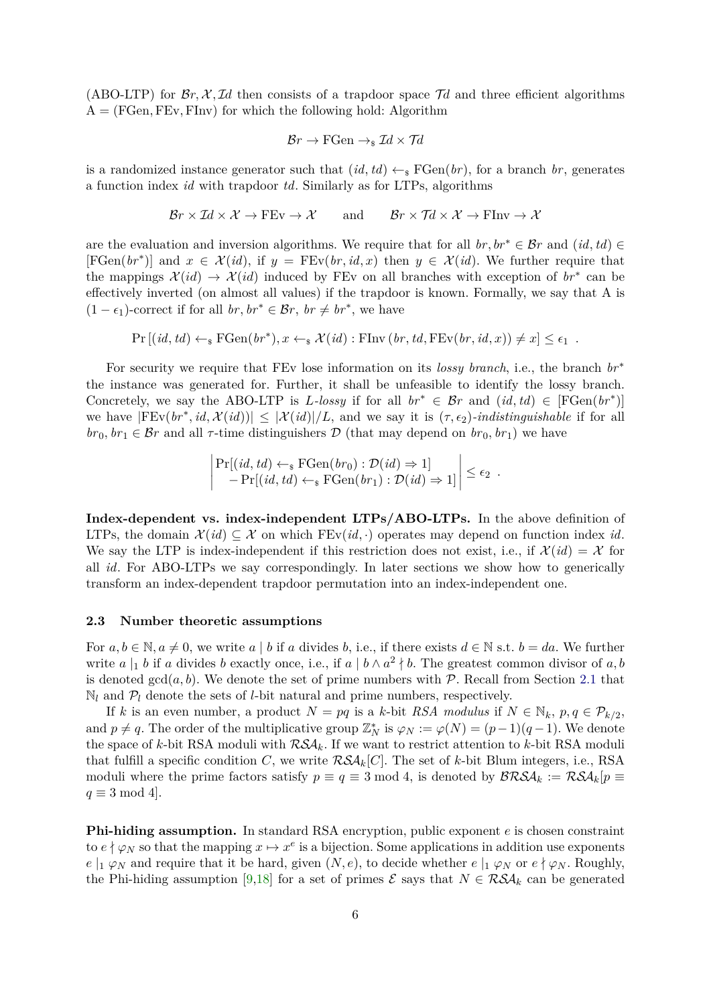(ABO-LTP) for  $\mathcal{B}r, \mathcal{X}, \mathcal{I}d$  then consists of a trapdoor space  $\mathcal{T}d$  and three efficient algorithms A = (FGen*,* FEv*,* FInv) for which the following hold: Algorithm

$$
\mathcal{B}r \to \text{FGen} \to_{\text{s}} \mathcal{I}d \times \mathcal{T}d
$$

is a randomized instance generator such that  $(id, td) \leftarrow s \text{FGen}(br)$ , for a branch *br*, generates a function index *id* with trapdoor *td*. Similarly as for LTPs, algorithms

$$
\mathcal{B}r \times \mathcal{I}d \times \mathcal{X} \to \text{FEv} \to \mathcal{X} \quad \text{and} \quad \mathcal{B}r \times \mathcal{T}d \times \mathcal{X} \to \text{Flnv} \to \mathcal{X}
$$

are the evaluation and inversion algorithms. We require that for all  $br, br^* \in \mathcal{B}r$  and  $(id, td) \in$  $[FGen(br^*)]$  and  $x \in \mathcal{X}(id)$ , if  $y = FEv(br, id, x)$  then  $y \in \mathcal{X}(id)$ . We further require that the mappings  $\mathcal{X}(id) \to \mathcal{X}(id)$  induced by FEv on all branches with exception of  $br^*$  can be effectively inverted (on almost all values) if the trapdoor is known. Formally, we say that A is  $(1 - \epsilon_1)$ -correct if for all *br*, *br*<sup>∗</sup> ∈ *Br*, *br* ≠ *br*<sup>∗</sup>, we have

$$
Pr[(id, td) \leftarrow_{\$} FGen(br^*), x \leftarrow_{\$} \mathcal{X}(id) : \text{FIN}(br, td, FEv(br, id, x)) \neq x] \leq \epsilon_1.
$$

For security we require that FEv lose information on its *lossy branch*, i.e., the branch *br*<sup>∗</sup> the instance was generated for. Further, it shall be unfeasible to identify the lossy branch. Concretely, we say the ABO-LTP is *L*-lossy if for all  $br^* \in \mathcal{B}r$  and  $(id, td) \in [FGen(br^*)]$ we have  $|FEv(br^*, id, \mathcal{X}(id))| \leq |\mathcal{X}(id)|/L$ , and we say it is  $(\tau, \epsilon_2)$ -indistinguishable if for all  $b r_0, b r_1 \in \mathcal{B} r$  and all  $\tau$ -time distinguishers  $\mathcal{D}$  (that may depend on  $b r_0, b r_1$ ) we have

$$
\left| \Pr[(id, td) \leftarrow_s \text{FGen}(br_0) : \mathcal{D}(id) \Rightarrow 1] - \Pr[(id, td) \leftarrow_s \text{FGen}(br_1) : \mathcal{D}(id) \Rightarrow 1] \right| \le \epsilon_2.
$$

**Index-dependent vs. index-independent LTPs/ABO-LTPs.** In the above definition of LTPs, the domain  $\mathcal{X}(id) \subseteq \mathcal{X}$  on which FEv(*id*, ·) operates may depend on function index *id*. We say the LTP is index-independent if this restriction does not exist, i.e., if  $\mathcal{X}(id) = \mathcal{X}$  for all *id*. For ABO-LTPs we say correspondingly. In later sections we show how to generically transform an index-dependent trapdoor permutation into an index-independent one.

#### <span id="page-6-0"></span>**2.3 Number theoretic assumptions**

For  $a, b \in \mathbb{N}, a \neq 0$ , we write  $a \mid b$  if  $a$  divides  $b$ , i.e., if there exists  $d \in \mathbb{N}$  s.t.  $b = da$ . We further write *a* |<sub>1</sub> *b* if *a* divides *b* exactly once, i.e., if *a* | *b*  $\wedge$  *a*<sup>2</sup> | *b*. The greatest common divisor of *a*, *b* is denoted  $gcd(a, b)$ . We denote the set of prime numbers with P. Recall from Section [2.1](#page-4-1) that  $\mathbb{N}_l$  and  $\mathcal{P}_l$  denote the sets of *l*-bit natural and prime numbers, respectively.

If *k* is an even number, a product  $N = pq$  is a *k*-bit *RSA modulus* if  $N \in \mathbb{N}_k$ ,  $p, q \in \mathcal{P}_{k/2}$ , and  $p \neq q$ . The order of the multiplicative group  $\mathbb{Z}_N^*$  is  $\varphi_N := \varphi(N) = (p-1)(q-1)$ . We denote the space of *k*-bit RSA moduli with  $RSA_k$ . If we want to restrict attention to *k*-bit RSA moduli that fulfill a specific condition *C*, we write  $RSA_k[C]$ . The set of *k*-bit Blum integers, i.e., RSA moduli where the prime factors satisfy  $p \equiv q \equiv 3 \mod 4$ , is denoted by  $\mathcal{BRSA}_k := \mathcal{RSA}_k[p \equiv$  $q \equiv 3 \mod 4$ .

**Phi-hiding assumption.** In standard RSA encryption, public exponent *e* is chosen constraint to  $e \nmid \varphi_N$  so that the mapping  $x \mapsto x^e$  is a bijection. Some applications in addition use exponents  $e \mid_1 \varphi_N$  and require that it be hard, given  $(N, e)$ , to decide whether  $e \mid_1 \varphi_N$  or  $e \nmid \varphi_N$ . Roughly, the Phi-hiding assumption [\[9,](#page-23-10)[18\]](#page-23-3) for a set of primes  $\mathcal{E}$  says that  $N \in \mathcal{RSA}_k$  can be generated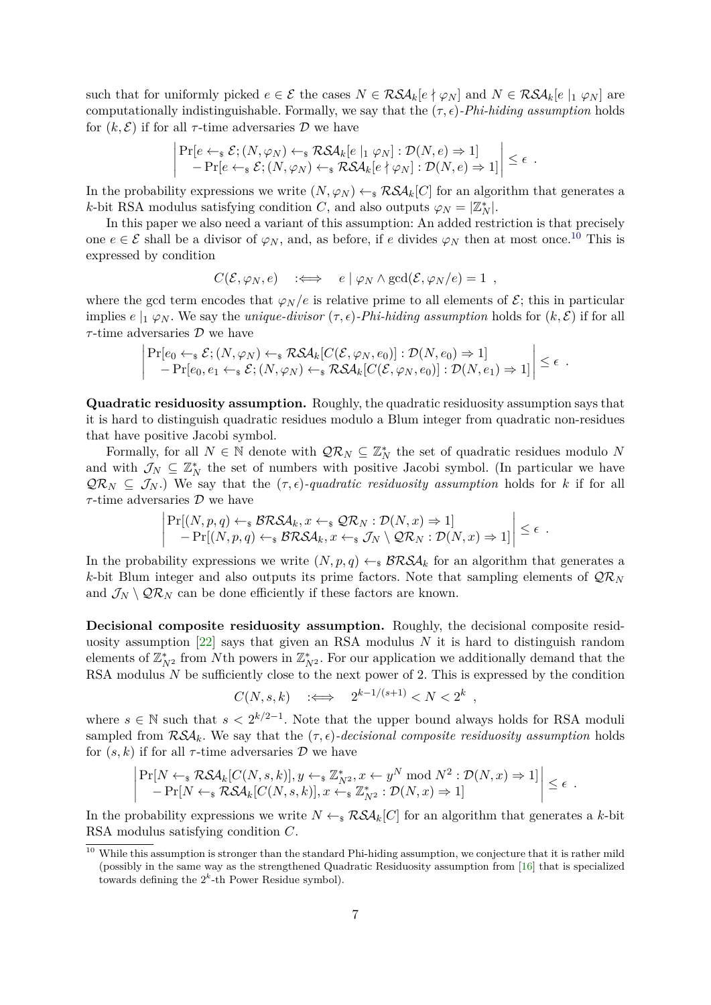such that for uniformly picked  $e \in \mathcal{E}$  the cases  $N \in \mathcal{RSA}_k[e \nmid \varphi_N]$  and  $N \in \mathcal{RSA}_k[e \mid 1 \varphi_N]$  are computationally indistinguishable. Formally, we say that the  $(\tau, \epsilon)$ -*Phi-hiding assumption* holds for  $(k, \mathcal{E})$  if for all  $\tau$ -time adversaries  $\mathcal{D}$  we have

$$
\left|\Pr\left[e \leftarrow_s \mathcal{E}; (N, \varphi_N) \leftarrow_s \mathcal{RSA}_k[e \mid_1 \varphi_N] : \mathcal{D}(N, e) \Rightarrow 1] - \Pr\left[e \leftarrow_s \mathcal{E}; (N, \varphi_N) \leftarrow_s \mathcal{RSA}_k[e \nmid \varphi_N] : \mathcal{D}(N, e) \Rightarrow 1]\right|\leq \epsilon.
$$

In the probability expressions we write  $(N, \varphi_N) \leftarrow_s \mathcal{RSA}_k[C]$  for an algorithm that generates a *k*-bit RSA modulus satisfying condition *C*, and also outputs  $\varphi_N = |\mathbb{Z}_N^*|$ .

In this paper we also need a variant of this assumption: An added restriction is that precisely one  $e \in \mathcal{E}$  shall be a divisor of  $\varphi_N$ , and, as before, if *e* divides  $\varphi_N$  then at most once.<sup>[10](#page-7-0)</sup> This is expressed by condition

$$
C(\mathcal{E}, \varphi_N, e) \quad : \Longleftrightarrow \quad e \mid \varphi_N \wedge \gcd(\mathcal{E}, \varphi_N/e) = 1 \enspace ,
$$

where the gcd term encodes that  $\varphi_N/e$  is relative prime to all elements of  $\mathcal{E}$ ; this in particular implies  $e \mid_1 \varphi_N$ . We say the *unique-divisor*  $(\tau, \epsilon)$ *-Phi-hiding assumption* holds for  $(k, \mathcal{E})$  if for all *τ* -time adversaries D we have

$$
\left|\n\begin{array}{l}\n\Pr[e_0 \leftarrow_s \mathcal{E}; (N, \varphi_N) \leftarrow_s \mathcal{RSA}_k[C(\mathcal{E}, \varphi_N, e_0)] : \mathcal{D}(N, e_0) \Rightarrow 1] \\
-\Pr[e_0, e_1 \leftarrow_s \mathcal{E}; (N, \varphi_N) \leftarrow_s \mathcal{RSA}_k[C(\mathcal{E}, \varphi_N, e_0)] : \mathcal{D}(N, e_1) \Rightarrow 1]\n\end{array}\n\right|\n\leq \epsilon.
$$

**Quadratic residuosity assumption.** Roughly, the quadratic residuosity assumption says that it is hard to distinguish quadratic residues modulo a Blum integer from quadratic non-residues that have positive Jacobi symbol.

Formally, for all  $N \in \mathbb{N}$  denote with  $\mathcal{QR}_N \subseteq \mathbb{Z}_N^*$  the set of quadratic residues modulo N and with  $\mathcal{J}_N \subseteq \mathbb{Z}_N^*$  the set of numbers with positive Jacobi symbol. (In particular we have  $QR_N \subseteq \mathcal{J}_N$ .) We say that the  $(\tau, \epsilon)$ -quadratic residuosity assumption holds for k if for all *τ* -time adversaries D we have

$$
\left|\frac{\Pr[(N, p, q) \leftarrow_{\$} \mathcal{BRSA}_{k}, x \leftarrow_{\$} \mathcal{QR}_{N} : \mathcal{D}(N, x) \Rightarrow 1]}{-\Pr[(N, p, q) \leftarrow_{\$} \mathcal{BRSA}_{k}, x \leftarrow_{\$} \mathcal{J}_{N} \setminus \mathcal{QR}_{N} : \mathcal{D}(N, x) \Rightarrow 1]}\right| \leq \epsilon.
$$

In the probability expressions we write  $(N, p, q) \leftarrow_{\mathbb{S}} \text{BRSA}_k$  for an algorithm that generates a *k*-bit Blum integer and also outputs its prime factors. Note that sampling elements of  $\mathcal{QR}_N$ and  $\mathcal{J}_N \setminus \mathcal{Q}\mathcal{R}_N$  can be done efficiently if these factors are known.

**Decisional composite residuosity assumption.** Roughly, the decisional composite residuosity assumption [\[22\]](#page-23-21) says that given an RSA modulus *N* it is hard to distinguish random elements of  $\mathbb{Z}_{N^2}^*$  from *N*<sup>th</sup> powers in  $\mathbb{Z}_{N^2}^*$ . For our application we additionally demand that the RSA modulus *N* be sufficiently close to the next power of 2. This is expressed by the condition

$$
C(N, s, k) \quad : \Longleftrightarrow \quad 2^{k-1/(s+1)} < N < 2^k \enspace ,
$$

where  $s \in \mathbb{N}$  such that  $s < 2^{k/2-1}$ . Note that the upper bound always holds for RSA moduli sampled from  $RSA_k$ . We say that the  $(\tau, \epsilon)$ -decisional composite residuosity assumption holds for  $(s, k)$  if for all  $\tau$ -time adversaries  $\mathcal{D}$  we have

$$
\left|\frac{\Pr[N \leftarrow_{\$} \mathcal{RSA}_k[C(N,s,k)], y \leftarrow_{\$} \mathbb{Z}_{N^2}^*, x \leftarrow y^N \bmod N^2 : \mathcal{D}(N,x) \Rightarrow 1]}{-\Pr[N \leftarrow_{\$} \mathcal{RSA}_k[C(N,s,k)], x \leftarrow_{\$} \mathbb{Z}_{N^2}^* : \mathcal{D}(N,x) \Rightarrow 1]}\right| \le \epsilon.
$$

In the probability expressions we write  $N \leftarrow_{\mathbb{R}} \mathcal{RSA}_k[C]$  for an algorithm that generates a *k*-bit RSA modulus satisfying condition *C*.

<span id="page-7-0"></span> $10$  While this assumption is stronger than the standard Phi-hiding assumption, we conjecture that it is rather mild (possibly in the same way as the strengthened Quadratic Residuosity assumption from [\[16\]](#page-23-16) that is specialized towards defining the  $2^k$ -th Power Residue symbol).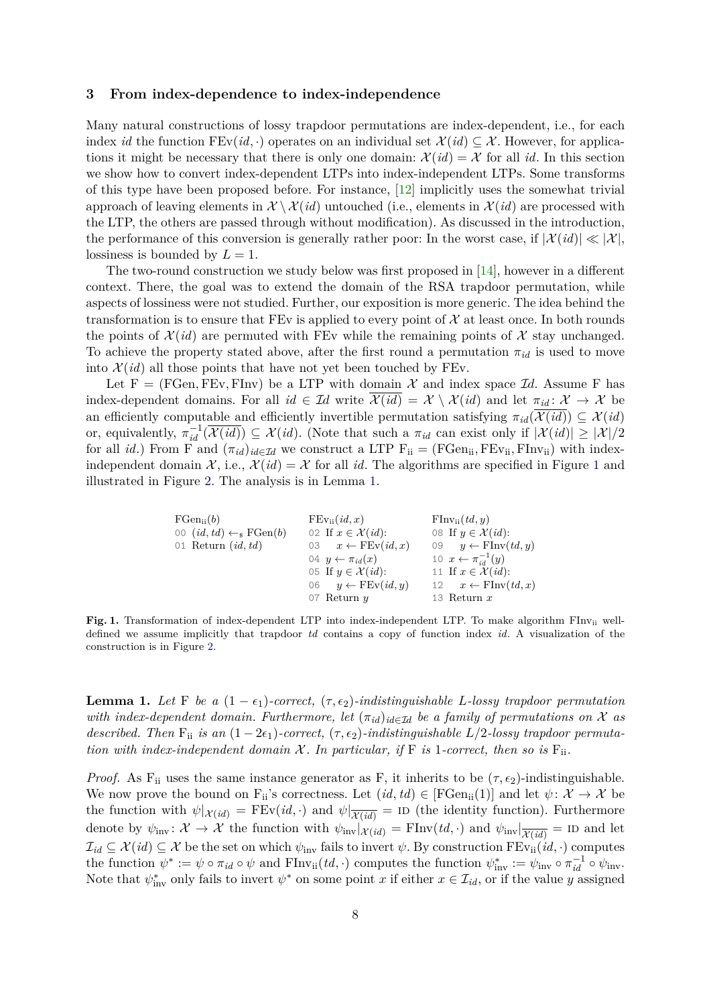#### <span id="page-8-7"></span>**3 From index-dependence to index-independence**

Many natural constructions of lossy trapdoor permutations are index-dependent, i.e., for each index *id* the function  $FEv(id, \cdot)$  operates on an individual set  $\mathcal{X}(id) \subseteq \mathcal{X}$ . However, for applications it might be necessary that there is only one domain:  $\mathcal{X}(id) = \mathcal{X}$  for all *id*. In this section we show how to convert index-dependent LTPs into index-independent LTPs. Some transforms of this type have been proposed before. For instance, [\[12\]](#page-23-9) implicitly uses the somewhat trivial approach of leaving elements in  $\mathcal{X} \setminus \mathcal{X}(id)$  untouched (i.e., elements in  $\mathcal{X}(id)$  are processed with the LTP, the others are passed through without modification). As discussed in the introduction, the performance of this conversion is generally rather poor: In the worst case, if  $|\mathcal{X}(id)| \ll |\mathcal{X}|$ , lossiness is bounded by  $L = 1$ .

The two-round construction we study below was first proposed in [\[14\]](#page-23-19), however in a different context. There, the goal was to extend the domain of the RSA trapdoor permutation, while aspects of lossiness were not studied. Further, our exposition is more generic. The idea behind the transformation is to ensure that  $FEv$  is applied to every point of  $\mathcal X$  at least once. In both rounds the points of  $\mathcal{X}(id)$  are permuted with FEv while the remaining points of  $\mathcal{X}$  stay unchanged. To achieve the property stated above, after the first round a permutation  $\pi_{id}$  is used to move into  $\mathcal{X}(id)$  all those points that have not yet been touched by FEv.

Let  $F = (FGen, FEv, FINv)$  be a LTP with domain X and index space Id. Assume F has index-dependent domains. For all  $id \in \mathcal{I}d$  write  $\mathcal{X}(id) = \mathcal{X} \setminus \mathcal{X}(id)$  and let  $\pi_{id} \colon \mathcal{X} \to \mathcal{X}$  be an efficiently computable and efficiently invertible permutation satisfying  $\pi_{id}(\mathcal{X}(id)) \subseteq \mathcal{X}(id)$ or, equivalently,  $\pi_{id}^{-1}(\overline{\mathcal{X}(id)}) \subseteq \mathcal{X}(id)$ . (Note that such a  $\pi_{id}$  can exist only if  $|\mathcal{X}(id)| \geq |\mathcal{X}|/2$ for all *id*.) From F and  $(\pi_{id})_{id \in \mathcal{I}d}$  we construct a LTP  $F_{ii} = (FGen_{ii}, FEv_{ii}, Finv_{ii})$  with indexindependent domain  $\mathcal{X}$ , i.e.,  $\mathcal{X}(id) = \mathcal{X}$  for all *id*. The algorithms are specified in Figure [1](#page-8-0) and illustrated in Figure [2.](#page-9-0) The analysis is in Lemma [1.](#page-8-1)

<span id="page-8-6"></span><span id="page-8-5"></span><span id="page-8-4"></span><span id="page-8-3"></span><span id="page-8-2"></span>

| $FGen_{ii}(b)$                            | $FEv_{ii}(id, x)$                   | $\text{FIN}_{\text{ii}}(td, y)$     |
|-------------------------------------------|-------------------------------------|-------------------------------------|
| 00 $(id, td) \leftarrow_s \text{FGen}(b)$ | 02 If $x \in \mathcal{X}(id)$ :     | 08 If $y \in \mathcal{X}(id)$ :     |
| 01 Return $(id, td)$                      | 03 $x \leftarrow \text{FEv}(id, x)$ | 09 $y \leftarrow \text{FIN}(td, y)$ |
|                                           | 04 $y \leftarrow \pi_{id}(x)$       | 10 $x \leftarrow \pi_{id}^{-1}(y)$  |
|                                           | 05 If $y \in \mathcal{X}(id)$ :     | 11 If $x \in \mathcal{X}(id)$ :     |
|                                           | 06 $y \leftarrow \text{FEv}(id, y)$ | 12 $x \leftarrow$ FInv $(td, x)$    |
|                                           | 07 Return $y$                       | 13 Return $x$                       |

<span id="page-8-0"></span>Fig. 1. Transformation of index-dependent LTP into index-independent LTP. To make algorithm FInv<sub>ii</sub> welldefined we assume implicitly that trapdoor *td* contains a copy of function index *id*. A visualization of the construction is in Figure [2.](#page-9-0)

<span id="page-8-1"></span>**Lemma 1.** Let F be a  $(1 - \epsilon_1)$ -correct,  $(\tau, \epsilon_2)$ -indistinguishable L-lossy trapdoor permutation *with index-dependent domain. Furthermore, let*  $(\pi_{id})_{id \in \mathcal{I}d}$  *be a family of permutations on* X *as described. Then*  $F_{ii}$  *is an*  $(1-2\epsilon_1)$ *-correct,*  $(\tau, \epsilon_2)$ *-indistinguishable*  $L/2$ *-lossy trapdoor permutation with index-independent domain*  $X$ *. In particular, if* F *is* 1-correct, then so is  $F_{ii}$ *.* 

*Proof.* As F<sub>ii</sub> uses the same instance generator as F, it inherits to be  $(\tau, \epsilon_2)$ -indistinguishable. We now prove the bound on F<sub>ii</sub>'s correctness. Let  $(id, td) \in [FGen_{ii}(1)]$  and let  $\psi: \mathcal{X} \to \mathcal{X}$  be the function with  $\psi|_{\mathcal{X}(id)} = \text{FEv}(id, \cdot)$  and  $\psi|_{\overline{\mathcal{X}(id)}} = \text{ID}$  (the identity function). Furthermore denote by  $\psi_{\text{inv}}: \mathcal{X} \to \mathcal{X}$  the function with  $\psi_{\text{inv}}|_{\mathcal{X}(id)} = \text{FInv}(td, \cdot)$  and  $\psi_{\text{inv}}|_{\mathcal{X}(id)} = \text{ID}$  and let  $\mathcal{I}_{id} \subseteq \mathcal{X}(id) \subseteq \mathcal{X}$  be the set on which  $\psi_{inv}$  fails to invert  $\psi$ . By construction  $FEv_{ii}(id, \cdot)$  computes the function  $\psi^* := \psi \circ \pi_{id} \circ \psi$  and  $\text{FInv}_{ii}(td,\cdot)$  computes the function  $\psi^*_{inv} := \psi_{inv} \circ \pi_{id}^{-1} \circ \psi_{inv}$ . Note that  $\psi_{\text{inv}}^*$  only fails to invert  $\psi^*$  on some point *x* if either  $x \in \mathcal{I}_{id}$ , or if the value *y* assigned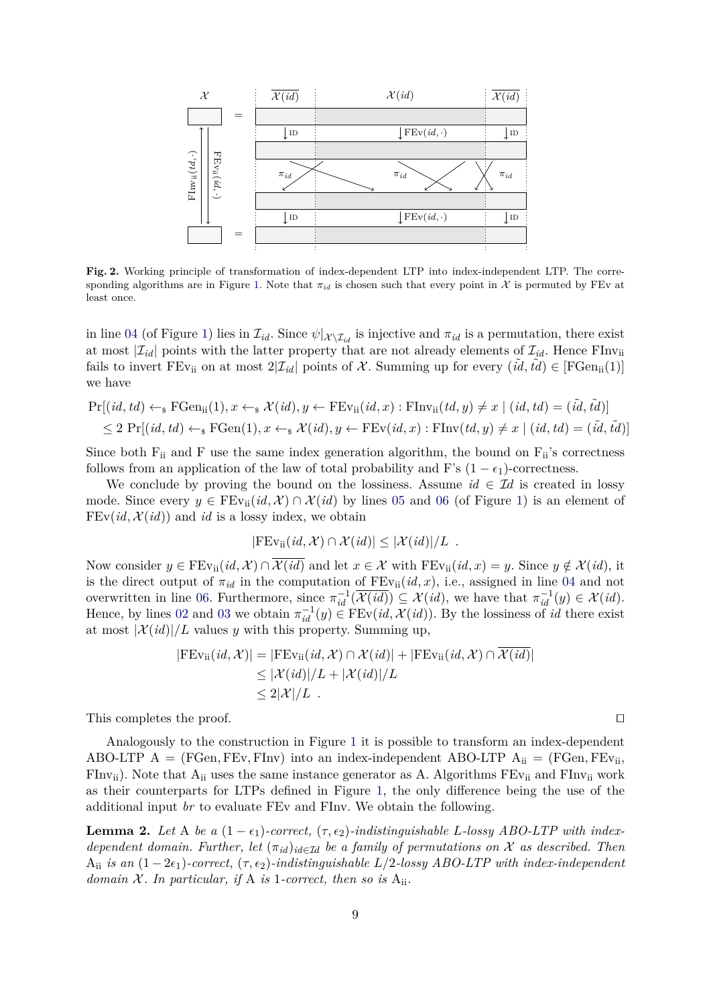

<span id="page-9-0"></span>**Fig. 2.** Working principle of transformation of index-dependent LTP into index-independent LTP. The corre-sponding algorithms are in Figure [1.](#page-8-0) Note that  $\pi_{id}$  is chosen such that every point in X is permuted by FEv at least once.

in line [04](#page-8-2) (of Figure [1\)](#page-8-0) lies in  $\mathcal{I}_{id}$ . Since  $\psi|_{\mathcal{X}\setminus\mathcal{I}_{id}}$  is injective and  $\pi_{id}$  is a permutation, there exist at most  $|\mathcal{I}_{id}|$  points with the latter property that are not already elements of  $\mathcal{I}_{id}$ . Hence FInv<sub>ii</sub> fails to invert  $FEv_{ii}$  on at most  $2|\mathcal{I}_{id}|$  points of X. Summing up for every  $(\tilde{id}, \tilde{td}) \in [FGen_{ii}(1)]$ we have

$$
\Pr[(id, td) \leftarrow_{\$} FGen_{ii}(1), x \leftarrow_{\$} \mathcal{X}(id), y \leftarrow FEv_{ii}(id, x) : \text{FInv}_{ii}(td, y) \neq x \mid (id, td) = (\tilde{id}, \tilde{td})]
$$
  
\n
$$
\leq 2 \Pr[(id, td) \leftarrow_{\$} FGen(1), x \leftarrow_{\$} \mathcal{X}(id), y \leftarrow FEv(id, x) : \text{FInv}(td, y) \neq x \mid (id, td) = (\tilde{id}, \tilde{td})]
$$

Since both  $F_{ii}$  and F use the same index generation algorithm, the bound on  $F_{ii}$ 's correctness follows from an application of the law of total probability and F's  $(1 - \epsilon_1)$ -correctness.

We conclude by proving the bound on the lossiness. Assume  $id \in \mathcal{I}d$  is created in lossy mode. Since every  $y \in \text{FEv}_{ii}(id, \mathcal{X}) \cap \mathcal{X}(id)$  by lines [05](#page-8-3) and [06](#page-8-4) (of Figure [1\)](#page-8-0) is an element of  $FEv(id, \mathcal{X}(id))$  and *id* is a lossy index, we obtain

$$
|\text{FEv}_{ii}(id,\mathcal{X}) \cap \mathcal{X}(id)| \leq |\mathcal{X}(id)|/L .
$$

Now consider  $y \in \text{FEv}_{ii}(id, \mathcal{X}) \cap \mathcal{X}(id)$  and let  $x \in \mathcal{X}$  with  $\text{FEv}_{ii}(id, x) = y$ . Since  $y \notin \mathcal{X}(id)$ , it is the direct output of  $\pi_{id}$  in the computation of  $FEv_{ii}(id, x)$ , i.e., assigned in line [04](#page-8-2) and not overwritten in line [06.](#page-8-4) Furthermore, since  $\pi_{id}^{-1}(\overline{\mathcal{X}(id)}) \subseteq \mathcal{X}(id)$ , we have that  $\pi_{id}^{-1}(y) \in \mathcal{X}(id)$ . Hence, by lines [02](#page-8-5) and [03](#page-8-6) we obtain  $\pi_{id}^{-1}(y) \in \text{FEv}(id, \mathcal{X}(id))$ . By the lossiness of *id* there exist at most  $|\mathcal{X}(id)|/L$  values *y* with this property. Summing up,

$$
|FEv_{ii}(id, \mathcal{X})| = |FEv_{ii}(id, \mathcal{X}) \cap \mathcal{X}(id)| + |FEv_{ii}(id, \mathcal{X}) \cap \overline{\mathcal{X}(id)}|
$$
  
\n
$$
\leq |\mathcal{X}(id)|/L + |\mathcal{X}(id)|/L
$$
  
\n
$$
\leq 2|\mathcal{X}|/L.
$$

This completes the proof.  $\Box$ 

Analogously to the construction in Figure [1](#page-8-0) it is possible to transform an index-dependent ABO-LTP  $A = (FGen, FEv, FINv)$  into an index-independent ABO-LTP  $A_{ii} = (FGen, FEv_{ii},$ FInv<sub>ii</sub>). Note that  $A_{ii}$  uses the same instance generator as A. Algorithms  $FEv_{ii}$  and  $Flnv_{ii}$  work as their counterparts for LTPs defined in Figure [1,](#page-8-0) the only difference being the use of the additional input *br* to evaluate FEv and FInv. We obtain the following.

**Lemma 2.** Let A be a  $(1 - \epsilon_1)$ -correct,  $(\tau, \epsilon_2)$ -indistinguishable L-lossy ABO-LTP with index*dependent domain. Further, let*  $(\pi_{id})_{id \in \mathcal{I}d}$  *be a family of permutations on* X *as described. Then* A<sub>ii</sub> *is an*  $(1-2\epsilon_1)$ -correct,  $(\tau, \epsilon_2)$ -indistinguishable  $L/2$ -lossy ABO-LTP with index-independent *domain*  $X$ *. In particular, if* A *is* 1*-correct, then so is*  $A_{ii}$ *.*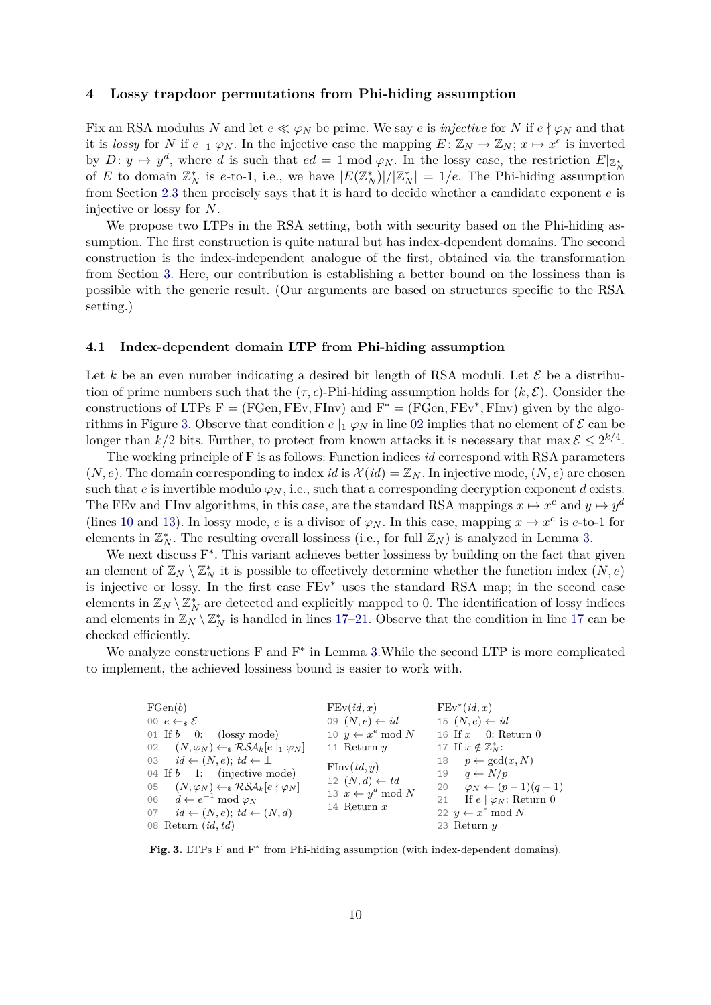#### <span id="page-10-12"></span>**4 Lossy trapdoor permutations from Phi-hiding assumption**

Fix an RSA modulus *N* and let  $e \ll \varphi_N$  be prime. We say *e* is *injective* for *N* if  $e \nmid \varphi_N$  and that it is *lossy* for *N* if  $e \mid_1 \varphi_N$ . In the injective case the mapping  $E: \mathbb{Z}_N \to \mathbb{Z}_N$ ;  $x \mapsto x^e$  is inverted by  $D: y \mapsto y^d$ , where *d* is such that  $ed = 1 \mod \varphi_N$ . In the lossy case, the restriction  $E|_{\mathbb{Z}_N^*}$ of *E* to domain  $\mathbb{Z}_N^*$  is *e*-to-1, i.e., we have  $|E(\mathbb{Z}_N^*)|/|\mathbb{Z}_N^*| = 1/e$ . The Phi-hiding assumption from Section [2.3](#page-6-0) then precisely says that it is hard to decide whether a candidate exponent *e* is injective or lossy for *N*.

We propose two LTPs in the RSA setting, both with security based on the Phi-hiding assumption. The first construction is quite natural but has index-dependent domains. The second construction is the index-independent analogue of the first, obtained via the transformation from Section [3.](#page-8-7) Here, our contribution is establishing a better bound on the lossiness than is possible with the generic result. (Our arguments are based on structures specific to the RSA setting.)

#### <span id="page-10-11"></span>**4.1 Index-dependent domain LTP from Phi-hiding assumption**

Let k be an even number indicating a desired bit length of RSA moduli. Let  $\mathcal E$  be a distribution of prime numbers such that the  $(\tau, \epsilon)$ -Phi-hiding assumption holds for  $(k, \mathcal{E})$ . Consider the constructions of LTPs  $F = (FGen, FEv, FINv)$  and  $F^* = (FGen, FEv^*, FINv)$  given by the algo-rithms in Figure [3.](#page-10-0) Observe that condition  $e \mid_1 \varphi_N$  in line [02](#page-10-1) implies that no element of  $\mathcal E$  can be longer than  $k/2$  bits. Further, to protect from known attacks it is necessary that max  $\mathcal{E} \leq 2^{k/4}$ .

The working principle of F is as follows: Function indices *id* correspond with RSA parameters  $(N, e)$ . The domain corresponding to index *id* is  $\mathcal{X}(id) = \mathbb{Z}_N$ . In injective mode,  $(N, e)$  are chosen such that *e* is invertible modulo  $\varphi_N$ , i.e., such that a corresponding decryption exponent *d* exists. The FEv and FInv algorithms, in this case, are the standard RSA mappings  $x \mapsto x^e$  and  $y \mapsto y^d$ (lines [10](#page-10-2) and [13\)](#page-10-3). In lossy mode, *e* is a divisor of  $\varphi_N$ . In this case, mapping  $x \mapsto x^e$  is *e*-to-1 for elements in  $\mathbb{Z}_N^*$ . The resulting overall lossiness (i.e., for full  $\mathbb{Z}_N$ ) is analyzed in Lemma [3.](#page-10-4)

We next discuss  $F^*$ . This variant achieves better lossiness by building on the fact that given an element of  $\mathbb{Z}_N \setminus \mathbb{Z}_N^*$  it is possible to effectively determine whether the function index  $(N, e)$ is injective or lossy. In the first case FEv<sup>∗</sup> uses the standard RSA map; in the second case elements in  $\mathbb{Z}_N \setminus \mathbb{Z}_N^*$  are detected and explicitly mapped to 0. The identification of lossy indices and elements in  $\mathbb{Z}_N \setminus \mathbb{Z}_N^*$  is handled in lines [17](#page-10-5)[–21.](#page-10-6) Observe that the condition in line 17 can be checked efficiently.

We analyze constructions F and F<sup>\*</sup> in Lemma [3.](#page-10-4) While the second LTP is more complicated to implement, the achieved lossiness bound is easier to work with.

<span id="page-10-8"></span><span id="page-10-7"></span><span id="page-10-5"></span><span id="page-10-2"></span><span id="page-10-1"></span>

| FGen(b)                                                                       | FEv(id, x)                   | $FEv^*(id, x)$                       |
|-------------------------------------------------------------------------------|------------------------------|--------------------------------------|
| 00 $e \leftarrow_s \mathcal{E}$                                               | 09 $(N,e) \leftarrow id$     | 15 $(N,e) \leftarrow id$             |
| 01 If $b = 0$ : (lossy mode)                                                  | 10 $y \leftarrow x^e \mod N$ | 16 If $x=0$ : Return 0               |
| 02 $(N, \varphi_N) \leftarrow \mathbb{R} \mathcal{S} A_k[e \mid_1 \varphi_N]$ | 11 Return $y$                | 17 If $x \notin \mathbb{Z}_N^*$ :    |
| 03 $id \leftarrow (N, e); td \leftarrow \perp$                                | $\text{FInv}(td, y)$         | 18 $p \leftarrow \gcd(x, N)$         |
| 04 If $b = 1$ : (injective mode)                                              | 12 $(N,d) \leftarrow td$     | 19 $q \leftarrow N/p$                |
| 05 $(N, \varphi_N) \leftarrow \Re \mathcal{S} A_k [e \nmid \varphi_N]$        | 13 $x \leftarrow y^d \mod N$ | 20 $\varphi_N \leftarrow (p-1)(q-1)$ |
| 06 $d \leftarrow e^{-1} \mod \varphi_N$                                       | 14 Return $x$                | 21 If $e \mid \varphi_N$ : Return 0  |
| 07 $id \leftarrow (N, e); td \leftarrow (N, d)$                               |                              | 22 $y \leftarrow x^e \mod N$         |
| 08 Return $(id, td)$                                                          |                              | 23 Return $y$                        |

<span id="page-10-10"></span><span id="page-10-9"></span><span id="page-10-6"></span><span id="page-10-4"></span><span id="page-10-3"></span><span id="page-10-0"></span>Fig. 3. LTPs F and F<sup>\*</sup> from Phi-hiding assumption (with index-dependent domains).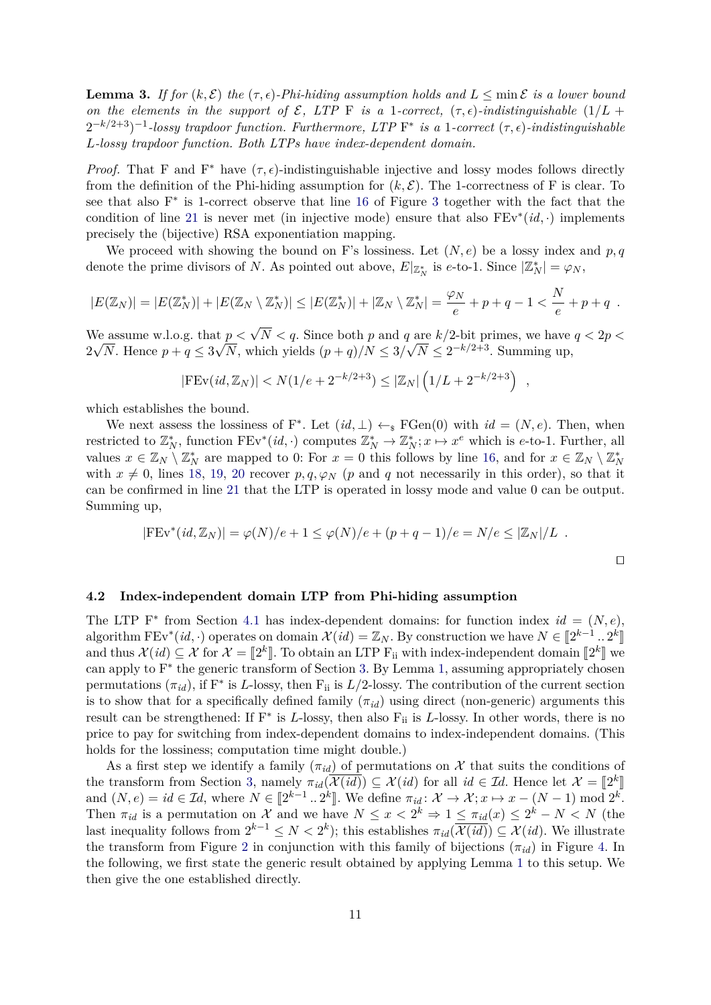**Lemma 3.** *If for*  $(k, \mathcal{E})$  *the*  $(\tau, \epsilon)$ *-Phi-hiding assumption holds and*  $L \leq \min \mathcal{E}$  *is a lower bound on the elements in the support of*  $\mathcal{E}$ *, LTP* F *is a* 1*-correct,*  $(\tau, \epsilon)$ *-indistinguishable*  $(1/L +$  $(2^{-k/2+3})^{-1}$ -lossy trapdoor function. Furthermore, LTP F<sup>\*</sup> is a 1-correct  $(\tau, \epsilon)$ -indistinguishable *L-lossy trapdoor function. Both LTPs have index-dependent domain.*

*Proof.* That F and F<sup>\*</sup> have  $(\tau, \epsilon)$ -indistinguishable injective and lossy modes follows directly from the definition of the Phi-hiding assumption for  $(k, \mathcal{E})$ . The 1-correctness of F is clear. To see that also  $F^*$  is 1-correct observe that line [16](#page-10-7) of Figure [3](#page-10-0) together with the fact that the condition of line [21](#page-10-6) is never met (in injective mode) ensure that also  $FEv^*(id, \cdot)$  implements precisely the (bijective) RSA exponentiation mapping.

We proceed with showing the bound on F's lossiness. Let  $(N, e)$  be a lossy index and  $p, q$ denote the prime divisors of *N*. As pointed out above,  $E|_{\mathbb{Z}_N^*}$  is *e*-to-1. Since  $|\mathbb{Z}_N^*| = \varphi_N$ ,

$$
|E(\mathbb{Z}_N)|=|E(\mathbb{Z}_N^*)|+|E(\mathbb{Z}_N\setminus\mathbb{Z}_N^*)|\leq |E(\mathbb{Z}_N^*)|+|\mathbb{Z}_N\setminus\mathbb{Z}_N^*|=\frac{\varphi_N}{e}+p+q-1<\frac{N}{e}+p+q.
$$

We assume w.l.o.g. that  $p < \sqrt{N} < q$ . Since both *p* and *q* are  $k/2$ -bit primes, we have  $q < 2p < \sqrt{\frac{N}{N}}$  $2\sqrt{N}$ . Hence  $p + q \leq 3\sqrt{N}$ , which yields  $(p + q)/N \leq 3/\sqrt{N} \leq 2^{-k/2+3}$ . Summing up,

$$
|\text{FEv}(id, \mathbb{Z}_N)| < N(1/e + 2^{-k/2+3}) \le |\mathbb{Z}_N| \left( 1/L + 2^{-k/2+3} \right) ,
$$

which establishes the bound.

We next assess the lossiness of F<sup>\*</sup>. Let  $(id, \perp) \leftarrow_s \text{FGen}(0)$  with  $id = (N, e)$ . Then, when restricted to  $\mathbb{Z}_N^*$ , function  $\text{FEv}^*(id, \cdot)$  computes  $\mathbb{Z}_N^* \to \mathbb{Z}_N^*$ ;  $x \mapsto x^e$  which is *e*-to-1. Further, all values  $x \in \mathbb{Z}_N \setminus \mathbb{Z}_N^*$  are mapped to 0: For  $x = 0$  this follows by line [16,](#page-10-7) and for  $x \in \mathbb{Z}_N \setminus \mathbb{Z}_N^*$ with  $x \neq 0$ , lines [18,](#page-10-8) [19,](#page-10-9) [20](#page-10-10) recover  $p, q, \varphi_N$  (*p* and *q* not necessarily in this order), so that it can be confirmed in line [21](#page-10-6) that the LTP is operated in lossy mode and value 0 can be output. Summing up,

$$
|\text{FEv}^*(id, \mathbb{Z}_N)| = \varphi(N)/e + 1 \le \varphi(N)/e + (p+q-1)/e = N/e \le |\mathbb{Z}_N|/L.
$$

#### <span id="page-11-0"></span>**4.2 Index-independent domain LTP from Phi-hiding assumption**

The LTP  $F^*$  from Section [4.1](#page-10-11) has index-dependent domains: for function index  $id = (N, e)$ ,  $\mathcal{X}(id) \subset \mathcal{X}$  for  $\mathcal{X} = \mathbb{R}^{k}$  To obtain an  $\mathcal{X}(id) = \mathbb{Z}_N$ . By construction we have  $N \in \mathbb{Z}^{k-1}$ ..  $2^k$ <br>and thus  $\mathcal{X}(id) \subset \mathcal{X}$  for  $\mathcal{X} = \mathbb{R}^{k}$  To obtain an LTD E, with index independent dem and thus  $\mathcal{X}(id) \subseteq \mathcal{X}$  for  $\mathcal{X} = [\![2^k]\!]$ . To obtain an LTP  $F_{ii}$  with index-independent domain  $[\![2^k]\!]$  we<br>can apply to  $F^*$  the generic transform of Section 3. By Lemma 1, assuming appropriately chosen can apply to F<sup>\*</sup> the generic transform of Section [3.](#page-8-7) By Lemma [1,](#page-8-1) assuming appropriately chosen permutations  $(\pi_{id})$ , if F<sup>\*</sup> is *L*-lossy, then F<sub>ii</sub> is *L*/2-lossy. The contribution of the current section is to show that for a specifically defined family  $(\pi_{id})$  using direct (non-generic) arguments this result can be strengthened: If  $F^*$  is *L*-lossy, then also  $F_{ii}$  is *L*-lossy. In other words, there is no price to pay for switching from index-dependent domains to index-independent domains. (This holds for the lossiness; computation time might double.)

As a first step we identify a family  $(\pi_{id})$  of permutations on X that suits the conditions of the transform from Section [3,](#page-8-7) namely  $\pi_{id}(\overline{\mathcal{X}(id)}) \subseteq \mathcal{X}(id)$  for all  $id \in \mathcal{I}d$ . Hence let  $\mathcal{X} = [2^k]$ <br>and  $(N, c) = id \in \mathcal{I}d$ , where  $N \in \mathbb{R}^{k-1}$ , a<sup>k</sup>ll, We define  $\pi \leftrightarrow \mathcal{X} \leftrightarrow \mathcal{X}(x + \lambda)$ , and  $\mathcal{X}(x + \lambda)$ and  $(N, e) = id \in \mathcal{I}d$ , where  $N \in [\![2^{k-1} \cdot 2^k]\!]$ . We define  $\pi_{id}: \mathcal{X} \to \mathcal{X}; x \mapsto x - (N-1) \mod 2^k$ .<br>Then  $\pi_{i}$  is a pormutation on  $\mathcal{X}$  and we have  $N \leq x \leq 2^k \to 1 \leq \pi_{i}(x) \leq 2^k$ .  $N \leq N$  (the Then  $\pi_{id}$  is a permutation on X and we have  $N \leq x < 2^k \Rightarrow 1 \leq \pi_{id}(x) \leq 2^k - N < N$  (the last inequality follows from  $2^{k-1} \le N < 2^k$ ); this establishes  $\pi_{id}(\overline{\mathcal{X}(id)}) \subseteq \mathcal{X}(id)$ . We illustrate the transform from Figure [2](#page-9-0) in conjunction with this family of bijections  $(\pi_{id})$  in Figure [4.](#page-12-0) In the following, we first state the generic result obtained by applying Lemma [1](#page-8-1) to this setup. We then give the one established directly.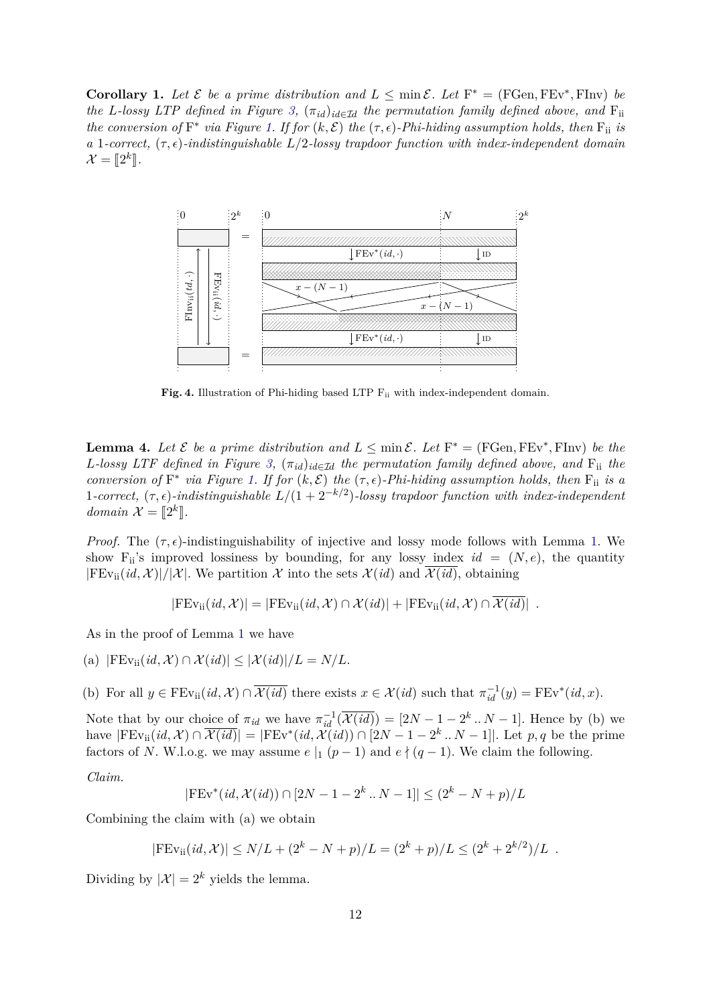**Corollary 1.** Let  $\mathcal{E}$  be a prime distribution and  $L \leq \min \mathcal{E}$ . Let  $F^* = (FGen, FEv^*, FINv)$  be *the L*-lossy LTP defined in Figure [3,](#page-10-0)  $(\pi_{id})_{id \in \mathcal{I}d}$  the permutation family defined above, and  $F_{ii}$ *the conversion of*  $F^*$  *via Figure [1.](#page-8-0) If for*  $(k, \mathcal{E})$  *the*  $(\tau, \epsilon)$ *-Phi-hiding assumption holds, then*  $F_{ii}$  *is a* 1*-correct,*  $(\tau, \epsilon)$ *-indistinguishable*  $L/2$ *-lossy trapdoor function with index-independent domain*  $\mathcal{X} = \llbracket 2^k \rrbracket.$ 



<span id="page-12-0"></span>Fig. 4. Illustration of Phi-hiding based LTP F<sub>ii</sub> with index-independent domain.

<span id="page-12-1"></span>**Lemma 4.** Let  $\mathcal{E}$  be a prime distribution and  $L \leq \min \mathcal{E}$ . Let  $F^* = (FGen, FEv^*, Finv)$  be the *L*<sup>-lossy</sup> LTF defined in Figure [3,](#page-10-0)  $(\pi_{id})_{id \in \mathcal{I}d}$  the permutation family defined above, and  $F_{ii}$  the *conversion of*  $F^*$  *via Figure [1.](#page-8-0) If for*  $(k, \mathcal{E})$  *the*  $(\tau, \epsilon)$ *-Phi-hiding assumption holds, then*  $F_{ii}$  *is a* 1-correct,  $(\tau, \epsilon)$ -indistinguishable  $L/(1 + 2^{-k/2})$ -lossy trapdoor function with index-independent *domain*  $\mathcal{X} = [\![2^k]\!]$ .

*Proof.* The  $(\tau, \epsilon)$ -indistinguishability of injective and lossy mode follows with Lemma [1.](#page-8-1) We show  $F_{ii}$ 's improved lossiness by bounding, for any lossy index  $id = (N, e)$ , the quantity  $|FEv_{ii}(id, \mathcal{X})|/|\mathcal{X}|$ . We partition X into the sets  $\mathcal{X}(id)$  and  $\mathcal{X}(id)$ , obtaining

$$
|\mathrm{FEv}_{ii}(id,\mathcal{X})| = |\mathrm{FEv}_{ii}(id,\mathcal{X}) \cap \mathcal{X}(id)| + |\mathrm{FEv}_{ii}(id,\mathcal{X}) \cap \mathcal{X}(id)|.
$$

As in the proof of Lemma [1](#page-8-1) we have

(a)  $|F Ev_{ii}(id, \mathcal{X}) \cap \mathcal{X}(id)| < |\mathcal{X}(id)|/L = N/L$ .

(b) For all  $y \in \text{FEv}_{ii}(id, \mathcal{X}) \cap \overline{\mathcal{X}(id)}$  there exists  $x \in \mathcal{X}(id)$  such that  $\pi_{id}^{-1}(y) = \text{FEv}^*(id, x)$ .

Note that by our choice of  $\pi_{id}$  we have  $\pi_{id}^{-1}(\overline{\mathcal{X}(id)}) = [2N - 1 - 2^k \dots N - 1]$ . Hence by (b) we have  $|FEv_{ii}(id, \mathcal{X}) \cap \overline{\mathcal{X}(id)}| = |FEv^*(id, \mathcal{X}(id)) \cap [2N - 1 - 2^k \dots N - 1]|$ . Let  $p, q$  be the prime factors of *N*. W.l.o.g. we may assume  $e \mid_1 (p-1)$  and  $e \nmid (q-1)$ . We claim the following.

*Claim.*

$$
|\text{FEv}^*(id, \mathcal{X}(id)) \cap [2N - 1 - 2^k \dots N - 1]| \le (2^k - N + p)/L
$$

Combining the claim with (a) we obtain

$$
|\text{FEv}_{ii}(id,\mathcal{X})| \leq N/L + (2^k - N + p)/L = (2^k + p)/L \leq (2^k + 2^{k/2})/L.
$$

Dividing by  $|\mathcal{X}| = 2^k$  yields the lemma.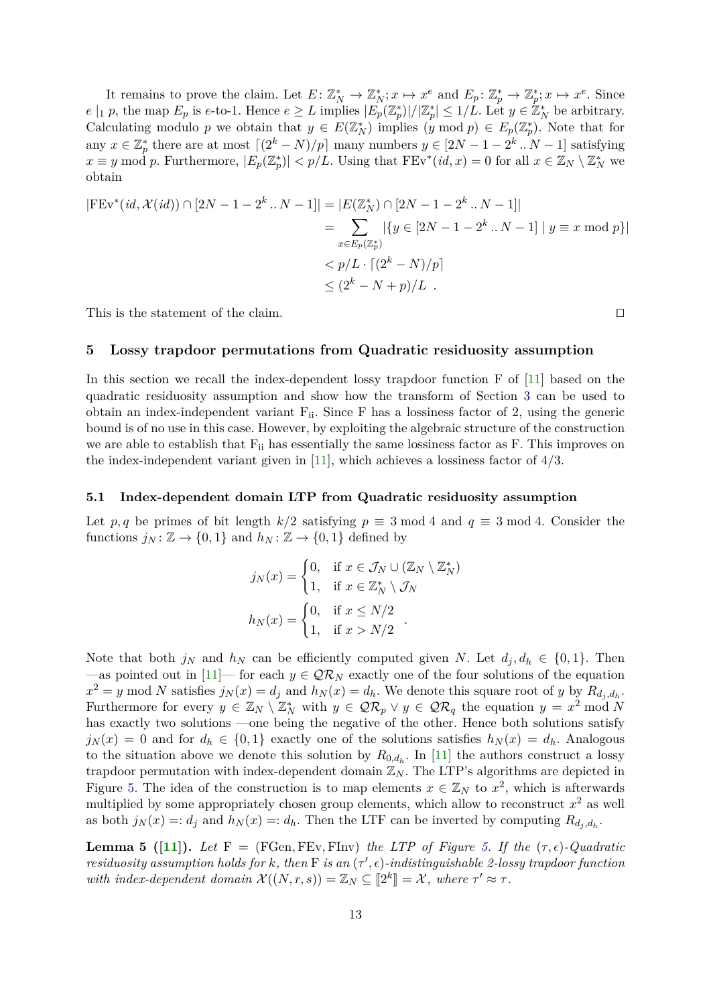It remains to prove the claim. Let  $E: \mathbb{Z}_N^* \to \mathbb{Z}_N^*$ ;  $x \mapsto x^e$  and  $E_p: \mathbb{Z}_p^* \to \mathbb{Z}_p^*$ ;  $x \mapsto x^e$ . Since  $e \mid_1 p$ , the map  $E_p$  is  $e$ -to-1. Hence  $e \geq L$  implies  $|\widetilde{E_p}(\mathbb{Z}_p^*)|/|\mathbb{Z}_p^*| \leq 1/L$ . Let  $y \in \mathbb{Z}_N^*$  be arbitrary. Calculating modulo *p* we obtain that  $y \in E(\mathbb{Z}_N^*)$  implies  $(y \mod p) \in E_p(\mathbb{Z}_p^*)$ . Note that for any  $x \in \mathbb{Z}_p^*$  there are at most  $\lceil (2^k - N)/p \rceil$  many numbers  $y \in [2N - 1 - 2^k \dots N - 1]$  satisfying  $x \equiv y \mod p$ . Furthermore,  $|E_p(\mathbb{Z}_p^*)| < p/L$ . Using that  $\text{FEv}^*(id, x) = 0$  for all  $x \in \mathbb{Z}_N \setminus \mathbb{Z}_N^*$  we obtain

$$
|\text{FEv}^*(id, \mathcal{X}(id)) \cap [2N - 1 - 2^k \dots N - 1]| = |E(\mathbb{Z}_N^*) \cap [2N - 1 - 2^k \dots N - 1]|
$$
  
= 
$$
\sum_{x \in E_p(\mathbb{Z}_p^*)} |\{y \in [2N - 1 - 2^k \dots N - 1] \mid y \equiv x \mod p\}|
$$
  

$$
< p/L \cdot \lceil (2^k - N)/p \rceil
$$
  

$$
\leq (2^k - N + p)/L.
$$

This is the statement of the claim.  $\Box$ 

#### **5 Lossy trapdoor permutations from Quadratic residuosity assumption**

In this section we recall the index-dependent lossy trapdoor function F of [\[11\]](#page-23-11) based on the quadratic residuosity assumption and show how the transform of Section [3](#page-8-7) can be used to obtain an index-independent variant  $F_{ii}$ . Since F has a lossiness factor of 2, using the generic bound is of no use in this case. However, by exploiting the algebraic structure of the construction we are able to establish that  $F_{ii}$  has essentially the same lossiness factor as F. This improves on the index-independent variant given in [\[11\]](#page-23-11), which achieves a lossiness factor of 4*/*3.

#### <span id="page-13-0"></span>**5.1 Index-dependent domain LTP from Quadratic residuosity assumption**

Let *p*, *q* be primes of bit length *k/*2 satisfying  $p \equiv 3 \mod 4$  and  $q \equiv 3 \mod 4$ . Consider the functions  $j_N : \mathbb{Z} \to \{0,1\}$  and  $h_N : \mathbb{Z} \to \{0,1\}$  defined by

$$
j_N(x) = \begin{cases} 0, & \text{if } x \in \mathcal{J}_N \cup (\mathbb{Z}_N \setminus \mathbb{Z}_N^*) \\ 1, & \text{if } x \in \mathbb{Z}_N^* \setminus \mathcal{J}_N \end{cases}
$$

$$
h_N(x) = \begin{cases} 0, & \text{if } x \le N/2 \\ 1, & \text{if } x > N/2 \end{cases}.
$$

Note that both  $j<sub>N</sub>$  and  $h<sub>N</sub>$  can be efficiently computed given *N*. Let  $d<sub>j</sub>, d<sub>h</sub> \in \{0, 1\}$ . Then —as pointed out in [\[11\]](#page-23-11)— for each  $y \in \mathcal{QR}_N$  exactly one of the four solutions of the equation  $x^2 = y$  mod N satisfies  $j_N(x) = d_j$  and  $h_N(x) = d_h$ . We denote this square root of y by  $R_{d_j,d_h}$ . Furthermore for every  $y \in \mathbb{Z}_N \setminus \mathbb{Z}_N^*$  with  $y \in \mathcal{QR}_p \vee y \in \mathcal{QR}_q$  the equation  $y = x^2 \mod N$ has exactly two solutions —one being the negative of the other. Hence both solutions satisfy  $j_N(x) = 0$  and for  $d_h \in \{0,1\}$  exactly one of the solutions satisfies  $h_N(x) = d_h$ . Analogous to the situation above we denote this solution by  $R_{0,d_h}$ . In [\[11\]](#page-23-11) the authors construct a lossy trapdoor permutation with index-dependent domain  $\mathbb{Z}_N$ . The LTP's algorithms are depicted in Figure [5.](#page-14-0) The idea of the construction is to map elements  $x \in \mathbb{Z}_N$  to  $x^2$ , which is afterwards multiplied by some appropriately chosen group elements, which allow to reconstruct  $x^2$  as well as both  $j_N(x) =: d_j$  and  $h_N(x) =: d_h$ . Then the LTF can be inverted by computing  $R_{d_j, d_h}$ .

**Lemma 5** ([\[11\]](#page-23-11)). Let  $F = (FGen, FEv, FIN)$  the LTP of Figure [5.](#page-14-0) If the  $(\tau, \epsilon)$ -Quadratic *residuosity assumption holds for*  $k$ *, then*  $F$  *is an*  $(\tau', \epsilon)$ *-indistinguishable 2-lossy trapdoor function* with index-dependent domain  $\mathcal{X}((N,r,s)) = \mathbb{Z}_N \subseteq [\![2^k]\!] = \mathcal{X}$ , where  $\tau' \approx \tau$ .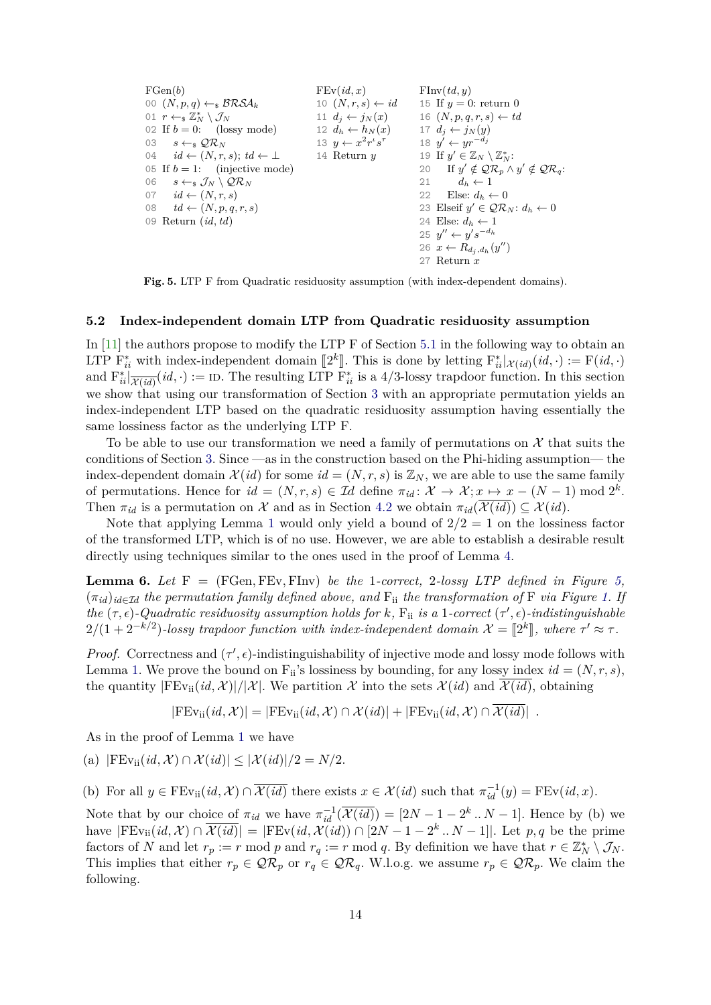| FGen(b)                                                    | FEv(id, x)                                                      | Flnv(td, y)                                            |
|------------------------------------------------------------|-----------------------------------------------------------------|--------------------------------------------------------|
| 00 $(N, p, q) \leftarrow_s \text{BRSA}_k$                  | 10 $(N, r, s) \leftarrow id$                                    | 15 If $y = 0$ : return 0                               |
| 01 $r \leftarrow_s \mathbb{Z}_N^* \setminus \mathcal{J}_N$ | 11 $d_j \leftarrow j_N(x)$                                      | 16 $(N, p, q, r, s) \leftarrow td$                     |
| 02 If $b = 0$ : (lossy mode)                               | 12 $d_h \leftarrow h_N(x)$                                      | 17 $d_j \leftarrow j_N(y)$                             |
| 03 $s \leftarrow_s \mathbb{Q}R_N$                          | 13 $y \leftarrow x^2 r^* s^7$                                   | 18 $y' \leftarrow yr^{-d_j}$                           |
| 04 $id \leftarrow (N, r, s)$ ; $td \leftarrow \perp$       | 14 Return $y$                                                   | 19 If $y' \in \mathbb{Z}_N \setminus \mathbb{Z}_N^*$ : |
| 05 If $b = 1$ : (injective mode)                           | 20 If $y' \notin \mathbb{Q}R_p \land y' \notin \mathbb{Q}R_q$ : |                                                        |
| 06 $s \leftarrow_s \mathcal{J}_N \setminus \mathbb{Q}R_N$  | 21 $d_h \leftarrow 1$                                           |                                                        |
| 07 $id \leftarrow (N, p, q, r, s)$                         | 22 Else: $d_h \leftarrow 0$                                     |                                                        |
| 08 $td \leftarrow (N, p, q, r, s)$                         | 23 Elseif $y' \in \mathbb{Q}R_N$ : $d_h \leftarrow 0$           |                                                        |
| 09 Return $(id, td)$                                       | 24 Else: $d_h \leftarrow 1$                                     |                                                        |
| 25 <math< td=""></math<>                                   |                                                                 |                                                        |

<span id="page-14-0"></span>**Fig. 5.** LTP F from Quadratic residuosity assumption (with index-dependent domains).

## **5.2 Index-independent domain LTP from Quadratic residuosity assumption**

In [\[11\]](#page-23-11) the authors propose to modify the LTP F of Section [5.1](#page-13-0) in the following way to obtain an LTP  $\mathbf{F}_{ii}^*|_{\mathcal{X}(id)}(id, \cdot) := \mathbf{F}(id, \cdot)$ <br>and  $\mathbf{F}_{ii}^*|_{\mathcal{X}(id)}(id, \cdot) := \mathbf{F}(id, \cdot)$ and  $\mathbf{F}_{ii}^*|_{\overline{\mathcal{X}(id)}}(id,\cdot) := \text{ID}$ . The resulting LTP  $\overline{\mathbf{F}}_{ii}^*$  is a 4/3-lossy trapdoor function. In this section we show that using our transformation of Section [3](#page-8-7) with an appropriate permutation yields an index-independent LTP based on the quadratic residuosity assumption having essentially the same lossiness factor as the underlying LTP F.

To be able to use our transformation we need a family of permutations on  $\mathcal X$  that suits the conditions of Section [3.](#page-8-7) Since —as in the construction based on the Phi-hiding assumption— the index-dependent domain  $\mathcal{X}(id)$  for some  $id = (N, r, s)$  is  $\mathbb{Z}_N$ , we are able to use the same family of permutations. Hence for  $id = (N, r, s) \in \mathcal{I}d$  define  $\pi_{id} \colon \mathcal{X} \to \mathcal{X}; x \mapsto x - (N - 1) \mod 2^k$ . Then  $\pi_{id}$  is a permutation on X and as in Section [4.2](#page-11-0) we obtain  $\pi_{id}(\overline{\mathcal{X}(id)}) \subseteq \mathcal{X}(id)$ .

Note that applying Lemma [1](#page-8-1) would only yield a bound of  $2/2 = 1$  on the lossiness factor of the transformed LTP, which is of no use. However, we are able to establish a desirable result directly using techniques similar to the ones used in the proof of Lemma [4.](#page-12-1)

**Lemma 6.** *Let* F = (FGen*,* FEv*,* FInv) *be the* 1*-correct,* 2*-lossy LTP defined in Figure [5,](#page-14-0)*  $(\pi_{id})_{id \in \mathcal{I}}$  *the permutation family defined above, and*  $F_{ii}$  *the transformation of* F *via Figure [1.](#page-8-0) If the*  $(\tau, \epsilon)$ -Quadratic residuosity assumption holds for  $k$ ,  $F_{ii}$  *is a* 1-correct  $(\tau', \epsilon)$ -indistinguishable  $2/(1+2^{-k/2})$ -lossy trapdoor function with index-independent domain  $\mathcal{X} = [\![2^k]\!]$ , where  $\tau' \approx \tau$ .

*Proof.* Correctness and  $(\tau', \epsilon)$ -indistinguishability of injective mode and lossy mode follows with Lemma [1.](#page-8-1) We prove the bound on  $F_{ii}$ 's lossiness by bounding, for any lossy index  $id = (N, r, s)$ , the quantity  $|FEv_{ii}(id, \mathcal{X})|/|\mathcal{X}|$ . We partition X into the sets  $\mathcal{X}(id)$  and  $\mathcal{X}(id)$ , obtaining

$$
|\mathrm{FEv}_{ii}(id,\mathcal{X})| = |\mathrm{FEv}_{ii}(id,\mathcal{X}) \cap \mathcal{X}(id)| + |\mathrm{FEv}_{ii}(id,\mathcal{X}) \cap \mathcal{X}(id)|
$$

As in the proof of Lemma [1](#page-8-1) we have

(a)  $|FEv_{ii}(id, \mathcal{X}) \cap \mathcal{X}(id)| \leq |\mathcal{X}(id)|/2 = N/2.$ 

(b) For all  $y \in \text{FEv}_{ii}(id, \mathcal{X}) \cap \overline{\mathcal{X}(id)}$  there exists  $x \in \mathcal{X}(id)$  such that  $\pi_{id}^{-1}(y) = \text{FEv}(id, x)$ .

Note that by our choice of  $\pi_{id}$  we have  $\pi_{id}^{-1}(\overline{\mathcal{X}(id)}) = [2N - 1 - 2^k \dots N - 1]$ . Hence by (b) we have  $|FEv_{ii}(id, \mathcal{X}) \cap \overline{\mathcal{X}(id)}| = |FEv(id, \mathcal{X}(id)) \cap [2N - 1 - 2^k ... N - 1]|$ . Let  $p, q$  be the prime factors of *N* and let  $r_p := r \mod p$  and  $r_q := r \mod q$ . By definition we have that  $r \in \mathbb{Z}_N^* \setminus \mathcal{J}_N$ . This implies that either  $r_p \in \mathcal{QR}_p$  or  $r_q \in \mathcal{QR}_q$ . W.l.o.g. we assume  $r_p \in \mathcal{QR}_p$ . We claim the following.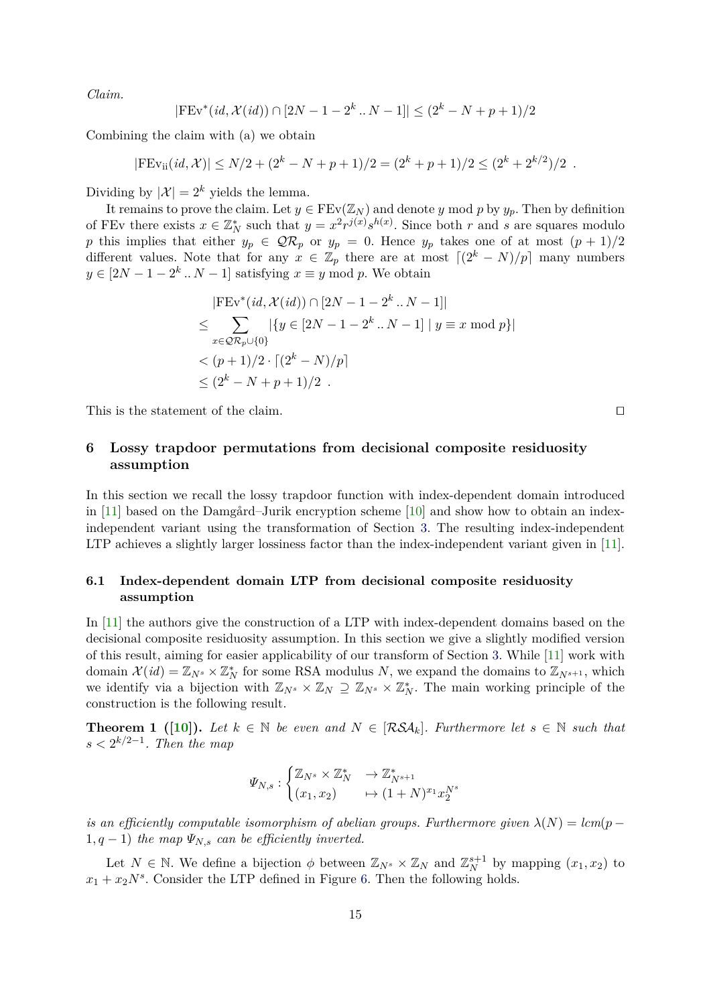*Claim.*

$$
|\text{FEv}^*(id, \mathcal{X}(id)) \cap [2N - 1 - 2^k \dots N - 1]| \le (2^k - N + p + 1)/2
$$

Combining the claim with (a) we obtain

 $|FEv_{ii}(id, \mathcal{X})| \leq N/2 + (2^k - N + p + 1)/2 = (2^k + p + 1)/2 \leq (2^k + 2^{k/2})/2$ .

Dividing by  $|\mathcal{X}| = 2^k$  yields the lemma.

It remains to prove the claim. Let  $y \in FEv(\mathbb{Z}_N)$  and denote *y* mod *p* by  $y_p$ . Then by definition of FEv there exists  $x \in \mathbb{Z}_N^*$  such that  $y = x^2 r^{j(x)} s^{h(x)}$ . Since both *r* and *s* are squares modulo *p* this implies that either  $y_p \in \mathcal{QR}_p$  or  $y_p = 0$ . Hence  $y_p$  takes one of at most  $(p+1)/2$ different values. Note that for any  $x \in \mathbb{Z}_p$  there are at most  $[(2^k - N)/p]$  many numbers  $y \in [2N - 1 - 2^k \dots N - 1]$  satisfying  $x \equiv y \mod p$ . We obtain

$$
|FEv^*(id, \mathcal{X}(id)) \cap [2N - 1 - 2^k \dots N - 1]|
$$
  
\n
$$
\leq \sum_{x \in \mathcal{QR}_p \cup \{0\}} |\{y \in [2N - 1 - 2^k \dots N - 1] \mid y \equiv x \mod p\}|
$$
  
\n
$$
< (p + 1)/2 \cdot [(2^k - N)/p]
$$
  
\n
$$
\leq (2^k - N + p + 1)/2.
$$

This is the statement of the claim.  $\Box$ 

# **6 Lossy trapdoor permutations from decisional composite residuosity assumption**

In this section we recall the lossy trapdoor function with index-dependent domain introduced in [\[11\]](#page-23-11) based on the Damgård–Jurik encryption scheme [\[10\]](#page-23-22) and show how to obtain an indexindependent variant using the transformation of Section [3.](#page-8-7) The resulting index-independent LTP achieves a slightly larger lossiness factor than the index-independent variant given in [\[11\]](#page-23-11).

# <span id="page-15-1"></span>**6.1 Index-dependent domain LTP from decisional composite residuosity assumption**

In [\[11\]](#page-23-11) the authors give the construction of a LTP with index-dependent domains based on the decisional composite residuosity assumption. In this section we give a slightly modified version of this result, aiming for easier applicability of our transform of Section [3.](#page-8-7) While [\[11\]](#page-23-11) work with domain  $\mathcal{X}(id) = \mathbb{Z}_{N^s} \times \mathbb{Z}_N^*$  for some RSA modulus *N*, we expand the domains to  $\mathbb{Z}_{N^{s+1}}$ , which we identify via a bijection with  $\mathbb{Z}_{N^s} \times \mathbb{Z}_N \supseteq \mathbb{Z}_{N^s} \times \mathbb{Z}_N^*$ . The main working principle of the construction is the following result.

**Theorem 1** ([\[10\]](#page-23-22)). Let  $k \in \mathbb{N}$  be even and  $N \in \{RSA_k\}$ . Furthermore let  $s \in \mathbb{N}$  such that  $s < 2^{k/2-1}$ *. Then the map* 

<span id="page-15-0"></span>
$$
\varPsi_{N,s}:\begin{cases} \mathbb{Z}_{N^s}\times\mathbb{Z}_N^* &\to\mathbb{Z}_{N^{s+1}}^*\\ (x_1,x_2) &\mapsto (1+N)^{x_1}x_2^{N^s} \end{cases}
$$

*is an efficiently computable isomorphism of abelian groups. Furthermore given*  $\lambda(N) = lcm(p - \lambda(N))$ 1,  $q - 1$ ) *the map*  $\Psi_{N,s}$  *can be efficiently inverted.* 

Let  $N \in \mathbb{N}$ . We define a bijection  $\phi$  between  $\mathbb{Z}_{N^s} \times \mathbb{Z}_N$  and  $\mathbb{Z}_N^{s+1}$  by mapping  $(x_1, x_2)$  to  $x_1 + x_2N^s$ . Consider the LTP defined in Figure [6.](#page-16-0) Then the following holds.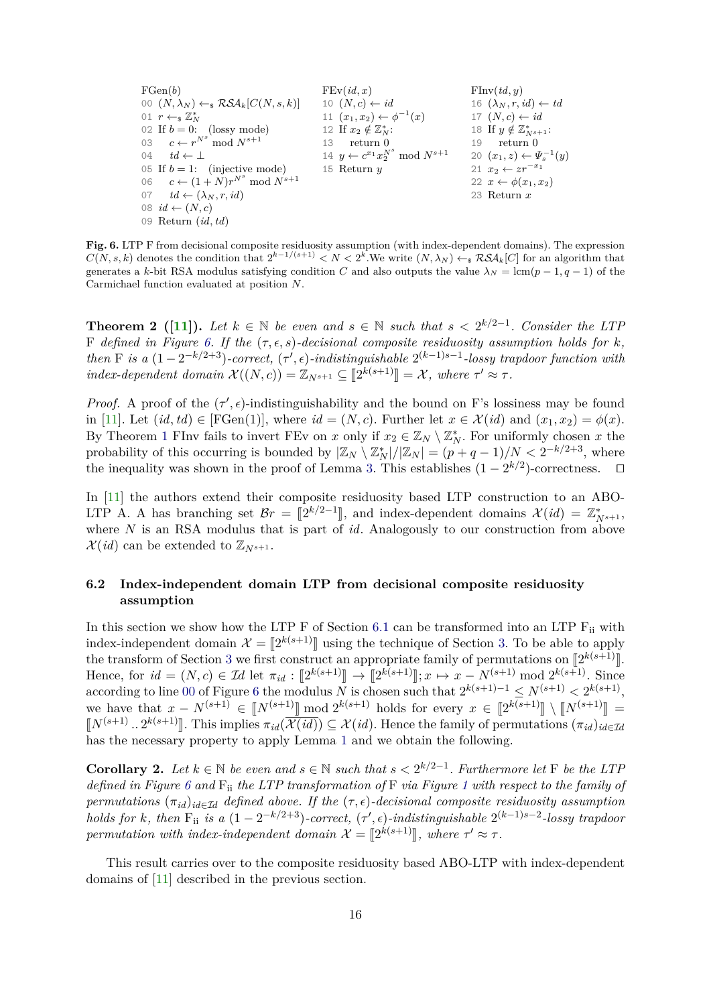<span id="page-16-1"></span>

| FGen(b)                                                      | FEv(id, x)                                     | Flnv(td, y)                               |
|--------------------------------------------------------------|------------------------------------------------|-------------------------------------------|
| 00 $(N, \lambda_N) \leftarrow_s \mathcal{RSA}_k[C(N, s, k)]$ | 10 $(N, c) \leftarrow id$                      | 16 $(\lambda_N, r, id) \leftarrow td$     |
| 01 $r \leftarrow_s \mathbb{Z}_N^*$                           | 11 $(x_1, x_2) \leftarrow \phi^{-1}(x)$        | 17 $(N, c) \leftarrow id$                 |
| 02 If $b = 0$ : (lossy mode)                                 | 12 If $x_2 \notin \mathbb{Z}_N^*$ :            | 13 If $y \notin \mathbb{Z}_{N^{s+1}}^*$ : |
| 03 $c \leftarrow r^{N^s} \mod N^{s+1}$                       | 13 return 0                                    | 19 return 0                               |
| 04 $td \leftarrow \perp$                                     | 14 $y \leftarrow c^x 1 x_2^{N^s} \mod N^{s+1}$ | 20 $(x_1, z) \leftarrow \Psi_s^{-1}(y)$   |
| 05 If $b = 1$ : (injective mode)                             | 15 Return $y$                                  | 21 $x_2 \leftarrow z r^{-x_1}$            |
| 06 $c \leftarrow (1 + N)r^{N^s} \mod N^{s+1}$                | 22 $x \leftarrow \phi(x_1, x_2)$               |                                           |
| 07 $td \leftarrow (\lambda_N, r, id)$                        | 23 Return $x$                                  |                                           |
| 08 $id \leftarrow (N, c)$                                    | 23 Return $(id, td)$                           |                                           |

<span id="page-16-0"></span>**Fig. 6.** LTP F from decisional composite residuosity assumption (with index-dependent domains). The expression  $C(N, s, k)$  denotes the condition that  $2^{k-1/(s+1)} < N < 2^k$ . We write  $(N, \lambda_N) \leftarrow s \mathcal{RSA}_k[C]$  for an algorithm that generates a *k*-bit RSA modulus satisfying condition *C* and also outputs the value  $\lambda_N = \text{lcm}(p-1, q-1)$  of the Carmichael function evaluated at position *N*.

**Theorem 2** ([\[11\]](#page-23-11)). Let  $k \in \mathbb{N}$  be even and  $s \in \mathbb{N}$  such that  $s < 2^{k/2-1}$ . Consider the LTP F defined in Figure [6.](#page-16-0) If the  $(\tau, \epsilon, s)$ -decisional composite residuosity assumption holds for  $k$ , *then* F *is a*  $(1-2^{-k/2+3})$ -correct,  $(\tau', \epsilon)$ -indistinguishable  $2^{(k-1)s-1}$ -lossy trapdoor function with *index-dependent domain*  $\mathcal{X}((N, c)) = \mathbb{Z}_{N^{s+1}} \subseteq [\![2^{k(s+1)}]\!] = \mathcal{X}$ *, where*  $\tau' \approx \tau$ *.* 

*Proof.* A proof of the  $(\tau', \epsilon)$ -indistinguishability and the bound on F's lossiness may be found in [\[11\]](#page-23-11). Let  $(id, td) \in [FGen(1)],$  where  $id = (N, c)$ . Further let  $x \in \mathcal{X}(id)$  and  $(x_1, x_2) = \phi(x)$ . By Theorem [1](#page-15-0) FInv fails to invert FEv on *x* only if  $x_2 \in \mathbb{Z}_N \setminus \mathbb{Z}_N^*$ . For uniformly chosen *x* the probability of this occurring is bounded by  $|\mathbb{Z}_N \setminus \mathbb{Z}_N^*|/|\mathbb{Z}_N| = (p+q-1)/N < 2^{-k/2+3}$ , where the inequality was shown in the proof of Lemma [3.](#page-10-4) This establishes  $(1 - 2^{k/2})$ -correctness. □

In [\[11\]](#page-23-11) the authors extend their composite residuosity based LTP construction to an ABO-LTP A. A has branching set  $\mathcal{B}_T = [\mathbb{2}^{k/2-1}]$ , and index-dependent domains  $\mathcal{X}(id) = \mathbb{Z}_{N^{s+1}}^*$ , where *N* is an RSA modulus that is part of *id*. Analogously to our construction from above  $\mathcal{X}(id)$  can be extended to  $\mathbb{Z}_{N^{s+1}}$ .

# **6.2 Index-independent domain LTP from decisional composite residuosity assumption**

In this section we show how the LTP F of Section [6.1](#page-15-1) can be transformed into an LTP  $F_{ii}$  with index-independent domain  $\mathcal{X} = [2^{k(s+1)}]$  using the technique of Section [3.](#page-8-7) To be able to apply<br>the transform of Section 3 we first construct an appropriate family of permutations on  $[2k(s+1)]$ the transform of Section [3](#page-8-7) we first construct an appropriate family of permutations on  $[\mathbb{2}^{k(s+1)}]$ .<br>Hones, for  $id - (N, s) \in \mathcal{I}$  let  $\pi$ ...  $[\mathbb{R}^{k(s+1)}]$ ,  $[\mathbb{R}^{k(s+1)}]$ ,  $\pi$ ,  $\pi$ ,  $N^{(s+1)}$  mod  $\mathbb{R}^{k(s+1)}$ . Hence, for  $id = (N, c) \in \mathcal{I}d$  let  $\pi_{id} : [\![2^{k(s+1)}]\!] \to [\![2^{k(s+1)}]\!]$ ;  $x \mapsto x - N^{(s+1)} \mod 2^{k(s+1)}$ . Since according to line [00](#page-16-1) of Figure [6](#page-16-0) the modulus N is chosen such that  $2^{k(s+1)-1} \leq N^{(s+1)} < 2^{k(s+1)}$ , we have that  $x - N^{(s+1)} \in [N^{(s+1)}] \mod 2^{k(s+1)}$  holds for every  $x \in [2^{k(s+1)}] \setminus [N^{(s+1)}] =$ <br> $\mathbb{E}[N^{(s+1)} \mod 2^{k(s+1)}]$ . This implies  $\pi \cdot (Y(s)) \subset Y(s)$ . Hence the family of pomputations  $(\pi \cdot)$  $[N^{(s+1)}.. 2^{k(s+1)}]$ . This implies  $\pi_{id}(\overline{\mathcal{X}(id)}) \subseteq \mathcal{X}(id)$ . Hence the family of permutations  $(\pi_{id})_{id \in \mathcal{I}d}$ has the necessary property to apply Lemma [1](#page-8-1) and we obtain the following.

**Corollary 2.** Let  $k \in \mathbb{N}$  be even and  $s \in \mathbb{N}$  such that  $s < 2^{k/2-1}$ . Furthermore let F be the LTP *defined in Figure [6](#page-16-0) and* Fii *the LTP transformation of* F *via Figure [1](#page-8-0) with respect to the family of permutations*  $(\pi_{id})_{id \in \mathcal{I}d}$  *defined above. If the*  $(\tau, \epsilon)$ *-decisional composite residuosity assumption holds for k*, then  $F_{ii}$  *is a*  $(1 - 2^{-k/2+3})$ -correct,  $(\tau', \epsilon)$ -indistinguishable  $2^{(k-1)s-2}$ -lossy trapdoor *permutation with index-independent domain*  $\mathcal{X} = [\![2^{k(s+1)}]\!]$ *, where*  $\tau' \approx \tau$ *.* 

This result carries over to the composite residuosity based ABO-LTP with index-dependent domains of [\[11\]](#page-23-11) described in the previous section.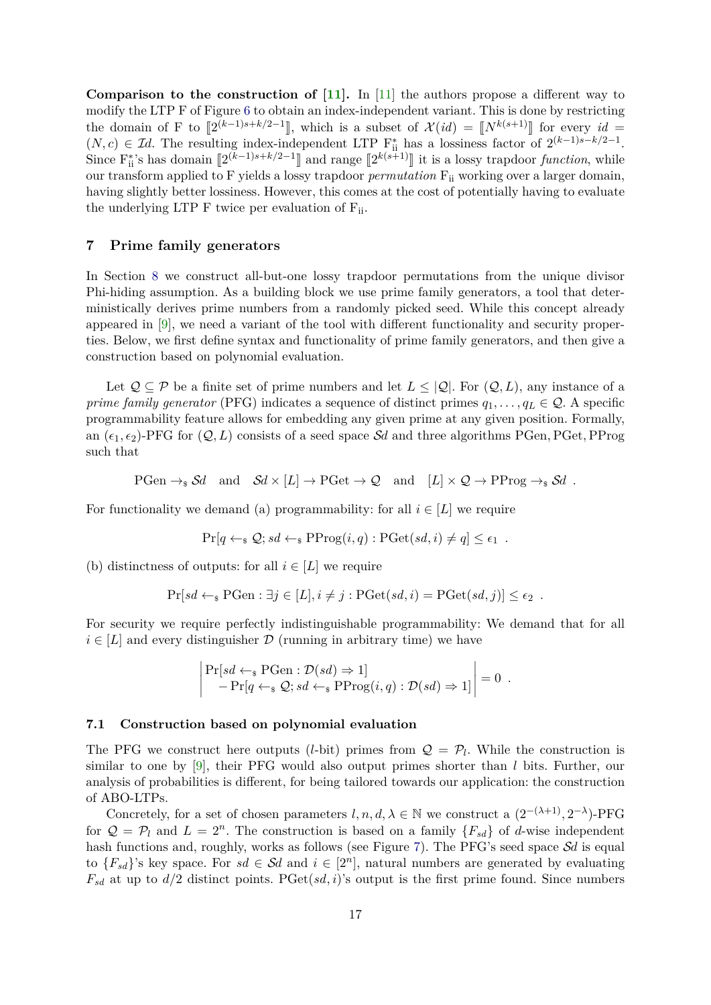**Comparison to the construction of [\[11\]](#page-23-11).** In [\[11\]](#page-23-11) the authors propose a different way to modify the LTP F of Figure [6](#page-16-0) to obtain an index-independent variant. This is done by restricting the domain of F to  $[2^{(k-1)s+k/2-1}]$ , which is a subset of  $\mathcal{X}(id) = [N^{k(s+1)}]$  for every  $id = (N_s) \in \mathcal{I}_d$ . The resulting index independent LTD  $\mathbb{F}_k^*$  has a legginger factor of  $2^{(k-1)s-k/2-1}$  $(N, c)$  ∈ Id. The resulting index-independent LTP  $F_{ii}^*$  has a lossiness factor of  $2^{(k-1)s-k/2-1}$ . Since  $F_{ii}^*$ 's has domain  $[2^{(k-1)s+k/2-1}]$  and range  $[2^{k(s+1)}]$  it is a lossy trapdoor *function*, while our transform applied to F yields a lossy trapdoor *permutation*  $F_{ii}$  working over a larger domain, having slightly better lossiness. However, this comes at the cost of potentially having to evaluate the underlying LTP  $F$  twice per evaluation of  $F_{ii}$ .

# <span id="page-17-0"></span>**7 Prime family generators**

In Section [8](#page-20-0) we construct all-but-one lossy trapdoor permutations from the unique divisor Phi-hiding assumption. As a building block we use prime family generators, a tool that deterministically derives prime numbers from a randomly picked seed. While this concept already appeared in [\[9\]](#page-23-10), we need a variant of the tool with different functionality and security properties. Below, we first define syntax and functionality of prime family generators, and then give a construction based on polynomial evaluation.

Let  $\mathcal{Q} \subset \mathcal{P}$  be a finite set of prime numbers and let  $L \leq |\mathcal{Q}|$ . For  $(\mathcal{Q}, L)$ , any instance of a *prime family generator* (PFG) indicates a sequence of distinct primes  $q_1, \ldots, q_L \in \mathcal{Q}$ . A specific programmability feature allows for embedding any given prime at any given position. Formally, an  $(\epsilon_1, \epsilon_2)$ -PFG for  $(Q, L)$  consists of a seed space Sd and three algorithms PGen, PGet, PProg such that

 $PGen \rightarrow_{\mathbb{S}} \mathcal{S}d$  and  $\mathcal{S}d \times [L] \rightarrow PGet \rightarrow \mathcal{Q}$  and  $[L] \times \mathcal{Q} \rightarrow PProg \rightarrow_{\mathbb{S}} \mathcal{S}d$ .

For functionality we demand (a) programmability: for all  $i \in [L]$  we require

 $\Pr[q \leftarrow_{\$} Q; sd \leftarrow_{\$} \Pr[\text{org}(i, q): \text{PGet}(sd, i) \neq q] \leq \epsilon_1$ .

(b) distinctness of outputs: for all  $i \in [L]$  we require

 $\Pr[sd \leftarrow_s \text{PGen} : \exists j \in [L], i \neq j : \text{PGet}(sd, i) = \text{PGet}(sd, j)] \leq \epsilon_2$ .

For security we require perfectly indistinguishable programmability: We demand that for all  $i \in [L]$  and every distinguisher  $\mathcal{D}$  (running in arbitrary time) we have

$$
\begin{vmatrix} \Pr[sd \leftarrow_{\$} PGen : \mathcal{D}(sd) \Rightarrow 1] \\ -\Pr[q \leftarrow_{\$} \mathcal{Q}; sd \leftarrow_{\$} PProg(i,q) : \mathcal{D}(sd) \Rightarrow 1] \end{vmatrix} = 0 .
$$

#### **7.1 Construction based on polynomial evaluation**

The PFG we construct here outputs (*l*-bit) primes from  $\mathcal{Q} = \mathcal{P}_l$ . While the construction is similar to one by [\[9\]](#page-23-10), their PFG would also output primes shorter than *l* bits. Further, our analysis of probabilities is different, for being tailored towards our application: the construction of ABO-LTPs.

Concretely, for a set of chosen parameters  $l, n, d, \lambda \in \mathbb{N}$  we construct a  $(2^{-(\lambda+1)}, 2^{-\lambda})$ -PFG for  $Q = P_l$  and  $L = 2^n$ . The construction is based on a family  $\{F_{sd}\}\$  of *d*-wise independent hash functions and, roughly, works as follows (see Figure [7\)](#page-18-0). The PFG's seed space S*d* is equal to  ${F_{sd}}$ 's key space. For  $sd \in \mathcal{S}d$  and  $i \in [2^n]$ , natural numbers are generated by evaluating  $F_{sd}$  at up to  $d/2$  distinct points. PGet(*sd, i*)'s output is the first prime found. Since numbers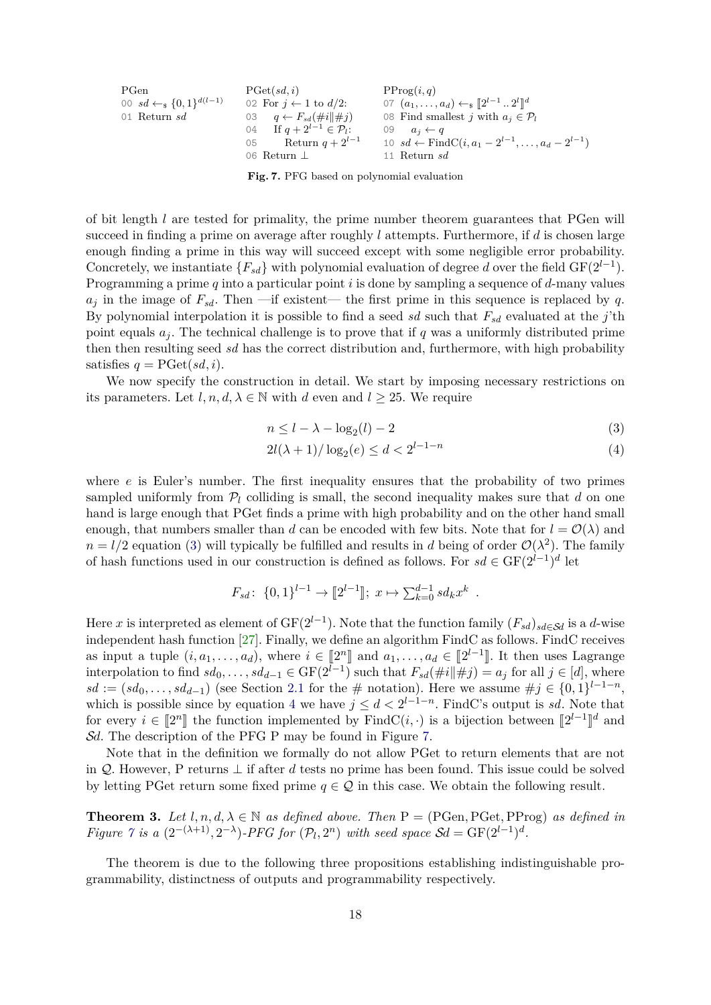|PGen 00  $sd \leftarrow_{\$} \{0,1\}^{d(l-1)}$ 01 Return *sd*  $PGet(sd, i)$ 02 For  $j \leftarrow 1$  to  $d/2$ : 03  $q \leftarrow F_{sd}(\#i||\#j)$ 04 If  $q + 2^{l-1} \in \mathcal{P}_l$ : 05 Return  $q + 2^{l-1}$ 06 Return ⊥  $PProg(i, q)$ 07  $(a_1, \ldots, a_d) \leftarrow_{\S} [2^{l-1} \dots 2^l]^d$ <br>08 Find smallest *i* with  $a_i \in \S$ 08 Find smallest *j* with  $a_j \in \mathcal{P}_l$ 09  $a_j \leftarrow q$ 10 *sd* ← FindC(*i*,  $a_1 - 2^{l-1}$ , ...,  $a_d - 2^{l-1}$ ) 11 Return *sd*

<span id="page-18-8"></span><span id="page-18-7"></span><span id="page-18-6"></span><span id="page-18-5"></span><span id="page-18-0"></span>**Fig. 7.** PFG based on polynomial evaluation

of bit length *l* are tested for primality, the prime number theorem guarantees that PGen will succeed in finding a prime on average after roughly *l* attempts. Furthermore, if *d* is chosen large enough finding a prime in this way will succeed except with some negligible error probability. Concretely, we instantiate  ${F_{sd}}$  with polynomial evaluation of degree *d* over the field GF(2<sup>*l*−1</sup>). Programming a prime *q* into a particular point *i* is done by sampling a sequence of *d*-many values  $a_j$  in the image of  $F_{sd}$ . Then —if existent— the first prime in this sequence is replaced by *q*. By polynomial interpolation it is possible to find a seed *sd* such that *Fsd* evaluated at the *j*'th point equals  $a_j$ . The technical challenge is to prove that if *q* was a uniformly distributed prime then then resulting seed *sd* has the correct distribution and, furthermore, with high probability satisfies  $q = \text{PGet}(sd, i)$ .

We now specify the construction in detail. We start by imposing necessary restrictions on its parameters. Let  $l, n, d, \lambda \in \mathbb{N}$  with  $d$  even and  $l \geq 25$ . We require

<span id="page-18-2"></span><span id="page-18-1"></span>
$$
n \le l - \lambda - \log_2(l) - 2 \tag{3}
$$

$$
2l(\lambda + 1) / \log_2(e) \le d < 2^{l-1-n} \tag{4}
$$

where *e* is Euler's number. The first inequality ensures that the probability of two primes sampled uniformly from  $\mathcal{P}_l$  colliding is small, the second inequality makes sure that *d* on one hand is large enough that PGet finds a prime with high probability and on the other hand small enough, that numbers smaller than *d* can be encoded with few bits. Note that for  $l = \mathcal{O}(\lambda)$  and  $n = l/2$  equation [\(3\)](#page-18-1) will typically be fulfilled and results in *d* being of order  $\mathcal{O}(\lambda^2)$ . The family of hash functions used in our construction is defined as follows. For  $sd \in \mathrm{GF}(2^{l-1})^d$  let

<span id="page-18-4"></span>
$$
F_{sd}: \{0,1\}^{l-1} \to [2^{l-1}]; x \mapsto \sum_{k=0}^{d-1} s d_k x^k
$$
.

Here *x* is interpreted as element of  $GF(2^{l-1})$ . Note that the function family  $(F_{sd})_{sd \in \mathcal{S}d}$  is a *d*-wise independent hash function [\[27\]](#page-24-4). Finally, we define an algorithm FindC as follows. FindC receives as input a tuple  $(i, a_1, \ldots, a_d)$ , where  $i \in [\![2^n]\!]$  and  $a_1, \ldots, a_d \in [\![2^{l-1}]\!]$ . It then uses Lagrange<br>interpolation to find added and  $\in \text{CE}(2^{l-1})$  such that  $F_{\ell}(\#i||\#i) = a$  for all  $i \in [d]$  where interpolation to find  $sd_0, \ldots, sd_{d-1} \in \text{GF}(2^{l-1})$  such that  $F_{sd}(\#i||\#j) = a_j$  for all  $j \in [d]$ , where  $sd := (sd_0, \ldots, sd_{d-1})$  (see Section [2.1](#page-4-1) for the # notation). Here we assume  $\#j \in \{0,1\}^{l-1-n}$ , which is possible since by equation [4](#page-18-2) we have  $j \leq d < 2^{l-1-n}$ . FindC's output is *sd*. Note that for every  $i \in [\![2^n]\!]$  the function implemented by FindC( $i, \cdot$ ) is a bijection between  $[\![2^{l-1}\!]$ <br>*Sd* The decentrian of the PEC B may be found in Figure 7.  $\rrbracket^d$  and S*d*. The description of the PFG P may be found in Figure [7.](#page-18-0)

Note that in the definition we formally do not allow PGet to return elements that are not in Q. However, P returns ⊥ if after *d* tests no prime has been found. This issue could be solved by letting PGet return some fixed prime  $q \in \mathcal{Q}$  in this case. We obtain the following result.

<span id="page-18-3"></span>**Theorem 3.** Let  $l, n, d, \lambda \in \mathbb{N}$  as defined above. Then  $P = (PGen, PGet, PProg)$  as defined in *Figure*  $\gamma$  *is a*  $(2^{-(\lambda+1)}, 2^{-\lambda})$ *-PFG for*  $(\mathcal{P}_l, 2^n)$  *with seed space*  $\mathcal{S}d = \text{GF}(2^{l-1})^d$ *.* 

The theorem is due to the following three propositions establishing indistinguishable programmability, distinctness of outputs and programmability respectively.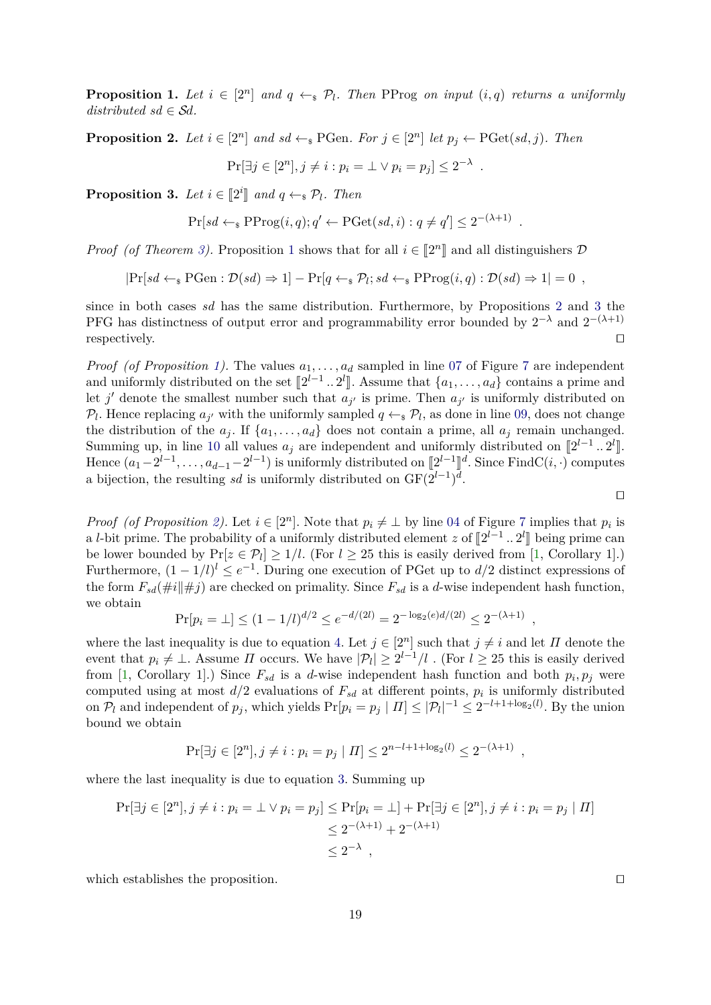**Proposition 1.** Let  $i \in [2^n]$  and  $q \leftarrow_s \mathcal{P}_l$ . Then PProg *on input*  $(i,q)$  *returns a uniformly distributed*  $sd \in \mathcal{S}d$ *.* 

<span id="page-19-0"></span>**Proposition 2.** Let  $i \in [2^n]$  and  $sd \leftarrow s$  PGen. For  $j \in [2^n]$  let  $p_j \leftarrow \text{PGet}(sd, j)$ . Then

$$
\Pr[\exists j \in [2^n], j \neq i : p_i = \bot \vee p_i = p_j] \leq 2^{-\lambda} .
$$

<span id="page-19-1"></span>**Proposition 3.** *Let*  $i \in [\![2^i]\!]$  *and*  $q \leftarrow_s \mathcal{P}_l$ *. Then* 

$$
Pr[sd \leftarrow_{\$} PProg(i, q); q' \leftarrow PGet(sd, i) : q \neq q'] \leq 2^{-(\lambda + 1)}
$$

*Proof* (of Theorem [3\)](#page-18-3). Proposition [1](#page-18-4) shows that for all  $i \in [2^n]$  and all distinguishers  $D$ 

$$
|\Pr[sd \leftarrow_s \text{PGen} : \mathcal{D}(sd) \Rightarrow 1] - \Pr[q \leftarrow_s \mathcal{P}_l; sd \leftarrow_s \text{PProg}(i,q) : \mathcal{D}(sd) \Rightarrow 1| = 0,
$$

since in both cases *sd* has the same distribution. Furthermore, by Propositions [2](#page-19-0) and [3](#page-19-1) the PFG has distinctness of output error and programmability error bounded by  $2^{-\lambda}$  and  $2^{-(\lambda+1)}$ respectively.  $\Box$ 

*Proof* (of Proposition [1\)](#page-18-4). The values  $a_1, \ldots, a_d$  sampled in line [07](#page-18-5) of Figure [7](#page-18-0) are independent and uniformly distributed on the set  $[\![2^{l-1} \cdot 2^l]\!]$ . Assume that  $\{a_1, \ldots, a_d\}$  contains a prime and let  $i'$  denote the smallest number such that  $s$ , is prime. Then  $s$ , is uniformly distributed on let *j*' denote the smallest number such that  $a_{j'}$  is prime. Then  $a_{j'}$  is uniformly distributed on  $\mathcal{P}_l$ . Hence replacing  $a_{j'}$  with the uniformly sampled  $q \leftarrow s \mathcal{P}_l$ , as done in line [09,](#page-18-6) does not change the distribution of the  $a_j$ . If  $\{a_1, \ldots, a_d\}$  does not contain a prime, all  $a_j$  remain unchanged. Summing up, in line [10](#page-18-7) all values  $a_j$  are independent and uniformly distributed on  $[\![2^{l-1} \cdot 2^l]\!]$ .<br>Hence  $(a_i - 2^{l-1} \cdot a_j - 2^{l-1})$  is uniformly distributed on  $[\![2^{l-1} \cdot 1]^d$ . Since  $\text{FindC}(i)$ , computes Hence  $(a_1 - 2^{l-1}, \ldots, a_{d-1} - 2^{l-1})$  is uniformly distributed on  $[\![2^{l-1}]\!]^d$ . Since FindC $(i, \cdot)$  computes a bijection, the resulting *sd* is uniformly distributed on  $GF(2^{l-1})^d$ .

 $\Box$ 

*.*

*Proof* (of Proposition [2\)](#page-19-0). Let  $i \in [2^n]$ . Note that  $p_i \neq \bot$  by line [04](#page-18-8) of Figure [7](#page-18-0) implies that  $p_i$  is a *l*-bit prime. The probability of a uniformly distributed element *z* of  $[2^{l-1} \dots 2^l]$  being prime can<br>be lower bounded by  $Pr[z \in \mathcal{D}_l] > 1/l$ . (For  $l > 25$  this is easily derived from [1] Corollary 1] be lower bounded by  $Pr[z \in \mathcal{P}_l] \geq 1/l$ . (For  $l \geq 25$  this is easily derived from [\[1,](#page-23-23) Corollary 1].) Furthermore,  $(1 - 1/l)^l \le e^{-1}$ . During one execution of PGet up to  $d/2$  distinct expressions of the form  $F_{sd}(\#i||\#j)$  are checked on primality. Since  $F_{sd}$  is a *d*-wise independent hash function, we obtain

$$
\Pr[p_i = \perp] \le (1 - 1/l)^{d/2} \le e^{-d/(2l)} = 2^{-\log_2(e)d/(2l)} \le 2^{-(\lambda+1)},
$$

where the last inequality is due to equation [4.](#page-18-2) Let  $j \in [2^n]$  such that  $j \neq i$  and let  $\Pi$  denote the event that  $p_i \neq \bot$ . Assume *Π* occurs. We have  $|\mathcal{P}_l| \geq 2^{l-1}/l$  . (For  $l \geq 25$  this is easily derived from [\[1,](#page-23-23) Corollary 1].) Since  $F_{sd}$  is a *d*-wise independent hash function and both  $p_i, p_j$  were computed using at most  $d/2$  evaluations of  $F_{sd}$  at different points,  $p_i$  is uniformly distributed on  $\mathcal{P}_l$  and independent of  $p_j$ , which yields  $Pr[p_i = p_j | II] \leq |\mathcal{P}_l|^{-1} \leq 2^{-l+1+\log_2(l)}$ . By the union bound we obtain

$$
\Pr[\exists j \in [2^n], j \neq i : p_i = p_j \mid \Pi] \le 2^{n-l+1+\log_2(l)} \le 2^{-(\lambda+1)},
$$

where the last inequality is due to equation [3.](#page-18-1) Summing up

$$
\Pr[\exists j \in [2^n], j \neq i : p_i = \bot \lor p_i = p_j] \le \Pr[p_i = \bot] + \Pr[\exists j \in [2^n], j \neq i : p_i = p_j | \Pi]
$$
  

$$
\le 2^{-(\lambda+1)} + 2^{-(\lambda+1)}
$$
  

$$
\le 2^{-\lambda},
$$

which establishes the proposition.  $\Box$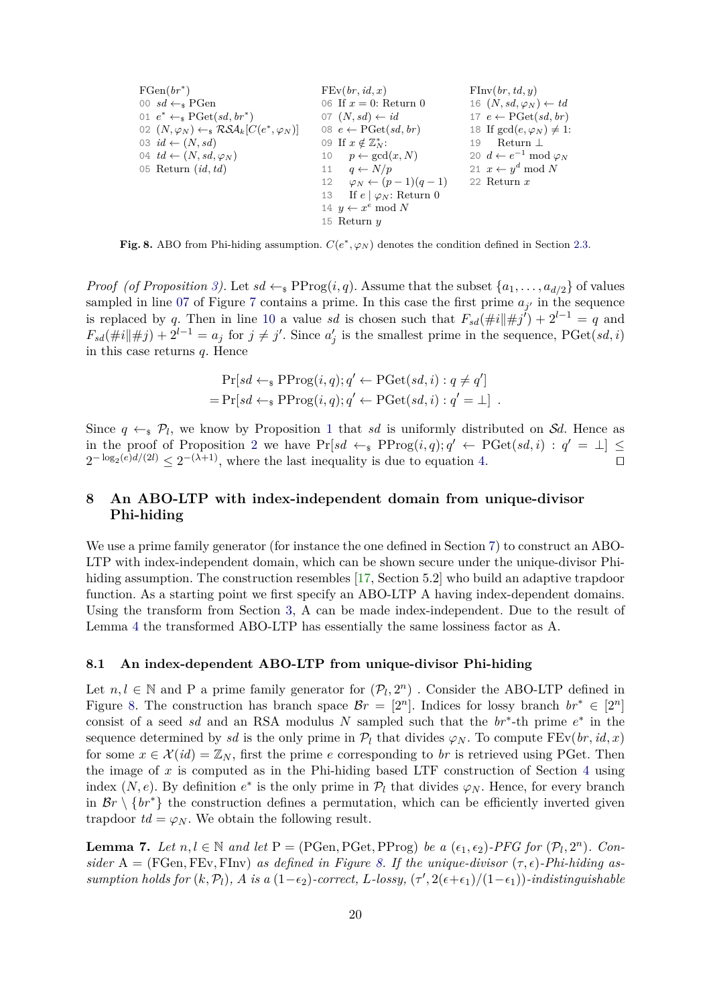<span id="page-20-3"></span>

| $FGen(br^*)$                                                                  | FEv(br, id, x)                        | $\text{FInv}(br, td, y)$                |
|-------------------------------------------------------------------------------|---------------------------------------|-----------------------------------------|
| 00 $sd \leftarrow_s \text{PGen}$                                              | 06 If $x = 0$ : Return 0              | 16 $(N, sd, \varphi_N) \leftarrow td$   |
| 01 $e^* \leftarrow s \text{PGet}(sd, br^*)$                                   | 07 $(N, sd) \leftarrow id$            | $17 e \leftarrow \text{PGet}(sd, br)$   |
| 02 $(N, \varphi_N) \leftarrow \mathbb{R} \mathcal{S} A_k [C(e^*, \varphi_N)]$ | 08 $e \leftarrow \text{PGet}(sd, br)$ | 18 If $gcd(e, \varphi_N) \neq 1$ :      |
| 03 $id \leftarrow (N, sd)$                                                    | 09 If $x \notin \mathbb{Z}_N^*$ :     | Return $\perp$<br>19                    |
| 04 $td \leftarrow (N, sd, \varphi_N)$                                         | 10 $p \leftarrow \gcd(x, N)$          | 20 $d \leftarrow e^{-1} \mod \varphi_N$ |
| 05 Return $(id, td)$                                                          | 11 $q \leftarrow N/p$                 | 21 $x \leftarrow y^d \mod N$            |
|                                                                               | 12 $\varphi_N \leftarrow (p-1)(q-1)$  | 22 Return $x$                           |
|                                                                               | 13 If $e   \varphi_N$ : Return 0      |                                         |
|                                                                               | 14 $y \leftarrow x^e \mod N$          |                                         |
|                                                                               | 15 Return $y$                         |                                         |

<span id="page-20-1"></span>**Fig. 8.** ABO from Phi-hiding assumption.  $C(e^*, \varphi_N)$  denotes the condition defined in Section [2.3.](#page-6-0)

*Proof* (of Proposition [3\)](#page-19-1). Let  $sd \leftarrow s$  PProg(*i, q*). Assume that the subset  $\{a_1, \ldots, a_{d/2}\}$  of values sampled in line [07](#page-18-5) of Figure [7](#page-18-0) contains a prime. In this case the first prime  $a_{j'}$  in the sequence is replaced by *q*. Then in line [10](#page-18-7) a value *sd* is chosen such that  $F_{sd}(\#i||\#j') + 2^{l-1} = q$  and  $F_{sd}(\#i||\#j) + 2^{l-1} = a_j$  for  $j \neq j'$ . Since  $a'_j$  is the smallest prime in the sequence, PGet(*sd, i*) in this case returns *q*. Hence

$$
\Pr[s d \leftarrow_{\$} \text{PProg}(i, q); q' \leftarrow \text{PGet}(sd, i) : q \neq q']
$$

$$
= \Pr[s d \leftarrow_{\$} \text{PProg}(i, q); q' \leftarrow \text{PGet}(sd, i) : q' = \perp].
$$

Since  $q \leftarrow_{\S} \mathcal{P}_l$ , we know by Proposition [1](#page-18-4) that *sd* is uniformly distributed on *Sd*. Hence as in the proof of Proposition [2](#page-19-0) we have  $Pr[sd \leftarrow s]$   $PProg(i,q); q' \leftarrow PGet(sd, i) : q' = \perp] \le$  $2^{-\log_2(e)d/(2l)} \leq 2^{-(\lambda+1)}$ , where the last inequality is due to equation [4.](#page-18-2)

# <span id="page-20-0"></span>**8 An ABO-LTP with index-independent domain from unique-divisor Phi-hiding**

We use a prime family generator (for instance the one defined in Section [7\)](#page-17-0) to construct an ABO-LTP with index-independent domain, which can be shown secure under the unique-divisor Phi-hiding assumption. The construction resembles [\[17,](#page-23-8) Section 5.2] who build an adaptive trapdoor function. As a starting point we first specify an ABO-LTP A having index-dependent domains. Using the transform from Section [3,](#page-8-7) A can be made index-independent. Due to the result of Lemma [4](#page-12-1) the transformed ABO-LTP has essentially the same lossiness factor as A.

## **8.1 An index-dependent ABO-LTP from unique-divisor Phi-hiding**

Let  $n, l \in \mathbb{N}$  and P a prime family generator for  $(\mathcal{P}_l, 2^n)$ . Consider the ABO-LTP defined in Figure [8.](#page-20-1) The construction has branch space  $\mathcal{B}r = [2^n]$ . Indices for lossy branch  $br^* \in [2^n]$ consist of a seed *sd* and an RSA modulus *N* sampled such that the  $br^*$ -th prime  $e^*$  in the sequence determined by *sd* is the only prime in  $\mathcal{P}_l$  that divides  $\varphi_N$ . To compute FEv(*br*, *id*, *x*) for some  $x \in \mathcal{X}(id) = \mathbb{Z}_N$ , first the prime *e* corresponding to *br* is retrieved using PGet. Then the image of *x* is computed as in the Phi-hiding based LTF construction of Section [4](#page-10-12) using index  $(N, e)$ . By definition  $e^*$  is the only prime in  $\mathcal{P}_l$  that divides  $\varphi_N$ . Hence, for every branch in  $\mathcal{B}r \setminus \{br^*\}$  the construction defines a permutation, which can be efficiently inverted given trapdoor  $td = \varphi_N$ . We obtain the following result.

<span id="page-20-2"></span>**Lemma 7.** Let  $n, l \in \mathbb{N}$  and let  $P = (PGen, PGet, PProg)$  be a  $(\epsilon_1, \epsilon_2)$ -PFG for  $(\mathcal{P}_l, 2^n)$ . Con*sider*  $A = (FGen, FEv, FINv)$  *as defined in Figure [8.](#page-20-1) If the unique-divisor*  $(\tau, \epsilon)$ -*Phi-hiding assumption holds for*  $(k, P_l)$ *,*  $A$  *is a*  $(1-\epsilon_2)$ *-correct,*  $L$ *-lossy,*  $(\tau', 2(\epsilon+\epsilon_1)/(1-\epsilon_1))$ *-indistinguishable*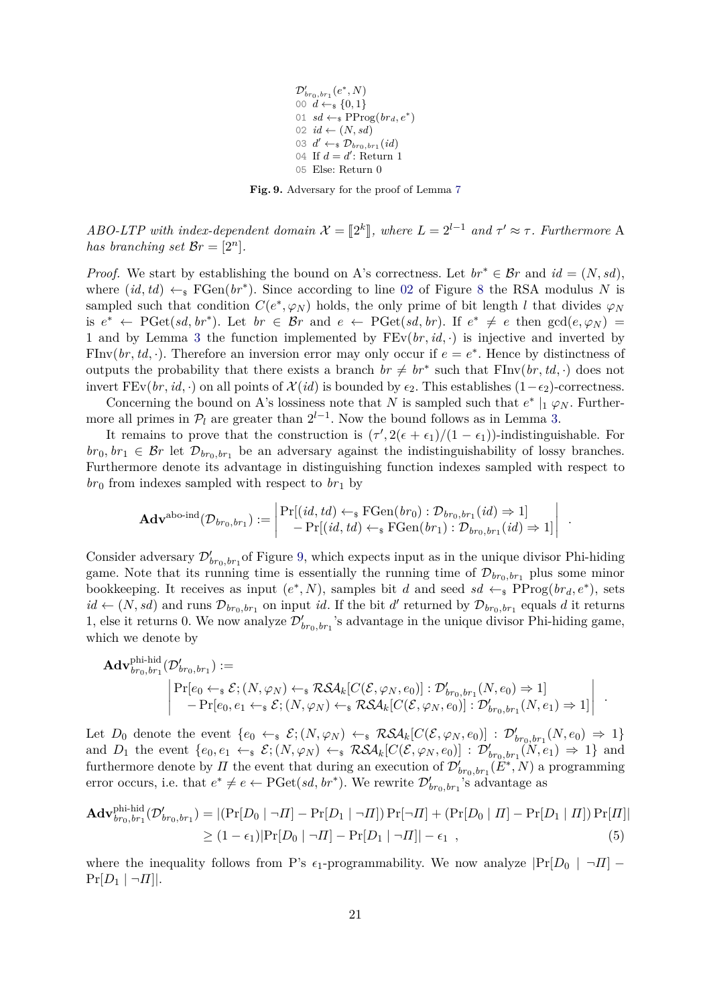<span id="page-21-1"></span> $\mathcal{D}'_{br_0,br_1}(e^*, N)$  $d \leftarrow_s \{0, 1\}$  $sd \leftarrow s \text{PProg}(br_d, e^*)$  $id \leftarrow (N, sd)$  $d' \leftarrow_s \mathcal{D}_{br_0, br_1}(id)$ 04 If  $d = d'$ : Return 1 Else: Return 0

<span id="page-21-0"></span>**Fig. 9.** Adversary for the proof of Lemma [7](#page-20-2)

*ABO-LTP with index-dependent domain*  $\mathcal{X} = [\![2^k]\!]$ , where  $L = 2^{l-1}$  and  $\tau' \approx \tau$ . Furthermore A has branching set  $\mathcal{R}_x = [2^n]$ *has branching set*  $Br = [2^n]$ *.* 

*Proof.* We start by establishing the bound on A's correctness. Let  $br^* \in \mathcal{B}r$  and  $id = (N, sd)$ , where  $(id, td) \leftarrow_{\S} FGen(br^*)$ . Since according to line [02](#page-20-3) of Figure [8](#page-20-1) the RSA modulus *N* is sampled such that condition  $C(e^*, \varphi_N)$  holds, the only prime of bit length *l* that divides  $\varphi_N$ is  $e^* \leftarrow \text{PGet}(sd, br^*)$ . Let  $br \in \mathcal{B}r$  and  $e \leftarrow \text{PGet}(sd, br)$ . If  $e^* \neq e$  then  $\text{gcd}(e, \varphi_N)$ 1 and by Lemma [3](#page-10-4) the function implemented by  $FEv(br, id, \cdot)$  is injective and inverted by FInv(*br*, *td*, ·). Therefore an inversion error may only occur if  $e = e^*$ . Hence by distinctness of outputs the probability that there exists a branch  $br \neq br^*$  such that  $\text{FInv}(br, td, \cdot)$  does not invert FEv(*br, id*, ·) on all points of  $\mathcal{X}(id)$  is bounded by  $\epsilon_2$ . This establishes (1− $\epsilon_2$ )-correctness.

Concerning the bound on A's lossiness note that *N* is sampled such that  $e^* \mid_1 \varphi_N$ . Furthermore all primes in  $\mathcal{P}_l$  are greater than  $2^{l-1}$ . Now the bound follows as in Lemma [3.](#page-10-4)

It remains to prove that the construction is  $(\tau', 2(\epsilon + \epsilon_1)/(1 - \epsilon_1))$ -indistinguishable. For  $b_{r0}$ ,  $b_{r1} \in \mathcal{B}_r$  let  $\mathcal{D}_{br_0,br_1}$  be an adversary against the indistinguishability of lossy branches. Furthermore denote its advantage in distinguishing function indexes sampled with respect to  $b_{r_0}$  from indexes sampled with respect to  $b_{r_1}$  by

$$
\mathbf{Adv}^{\mathrm{abo-ind}}(\mathcal{D}_{br_0,br_1}) := \begin{vmatrix} \Pr[(id, td) \leftarrow_s \mathrm{FGen}(br_0) : \mathcal{D}_{br_0,br_1}(id) \Rightarrow 1] \\ - \Pr[(id, td) \leftarrow_s \mathrm{FGen}(br_1) : \mathcal{D}_{br_0,br_1}(id) \Rightarrow 1] \end{vmatrix}
$$

<span id="page-21-2"></span>*.*

Consider adversary  $\mathcal{D}'_{b r_0, b r_1}$  of Figure [9,](#page-21-0) which expects input as in the unique divisor Phi-hiding game. Note that its running time is essentially the running time of  $\mathcal{D}_{b r_0, b r_1}$  plus some minor bookkeeping. It receives as input  $(e^*, N)$ , samples bit *d* and seed  $sd \leftarrow s$  PProg $(br_d, e^*)$ , sets  $id \leftarrow (N, sd)$  and runs  $\mathcal{D}_{b r_0, b r_1}$  on input *id*. If the bit *d*' returned by  $\mathcal{D}_{b r_0, b r_1}$  equals *d* it returns 1, else it returns 0. We now analyze  $\mathcal{D}'_{b r_0, b r_1}$ 's advantage in the unique divisor Phi-hiding game, which we denote by

$$
\mathbf{Adv}_{br_0,br_1}^{\text{phi-hid}}(\mathcal{D}'_{br_0,br_1}) := \left| \begin{array}{l} \text{Pr}[e_0 \leftarrow_{\text{s}} \mathcal{E}; (N, \varphi_N) \leftarrow_{\text{s}} \mathcal{RSA}_k[C(\mathcal{E}, \varphi_N, e_0)] : \mathcal{D}'_{br_0, br_1}(N, e_0) \Rightarrow 1] \\ - \text{Pr}[e_0, e_1 \leftarrow_{\text{s}} \mathcal{E}; (N, \varphi_N) \leftarrow_{\text{s}} \mathcal{RSA}_k[C(\mathcal{E}, \varphi_N, e_0)] : \mathcal{D}'_{br_0, br_1}(N, e_1) \Rightarrow 1] \end{array} \right| \right| \right|.
$$

Let  $D_0$  denote the event  $\{e_0 \leftarrow_s \mathcal{E}; (N, \varphi_N) \leftarrow_s \mathcal{RSA}_k[C(\mathcal{E}, \varphi_N, e_0)] : \mathcal{D}'_{br_0, br_1}(N, e_0) \Rightarrow 1\}$ and  $D_1$  the event  $\{e_0, e_1 \leftarrow_s \mathcal{E}; (N, \varphi_N) \leftarrow_s \mathcal{RSA}_k[C(\mathcal{E}, \varphi_N, e_0)] : \mathcal{D}'_{br_0, br_1}(N, e_1) \Rightarrow 1\}$  and furthermore denote by  $\Pi$  the event that during an execution of  $\mathcal{D}'_{br_0,br_1}(\check{E}^*,N)$  a programming error occurs, i.e. that  $e^* \neq e \leftarrow \text{PGet}(sd, br^*)$ . We rewrite  $\mathcal{D}'_{br_0, br_1}$ 's advantage as

$$
\mathbf{Adv}_{br_0,br_1}^{\text{phi-ind}}(\mathcal{D}_{br_0,br_1}') = |(\Pr[D_0 \mid \neg \Pi] - \Pr[D_1 \mid \neg \Pi]) \Pr[\neg \Pi] + (\Pr[D_0 \mid \Pi] - \Pr[D_1 \mid \Pi]) \Pr[\Pi]|
$$
  
 
$$
\geq (1 - \epsilon_1)|\Pr[D_0 \mid \neg \Pi] - \Pr[D_1 \mid \neg \Pi]| - \epsilon_1 , \qquad (5)
$$

where the inequality follows from P's  $\epsilon_1$ -programmability. We now analyze  $|Pr[D_0 | \neg I]$  –  $Pr[D_1 \mid \neg \Pi]$ .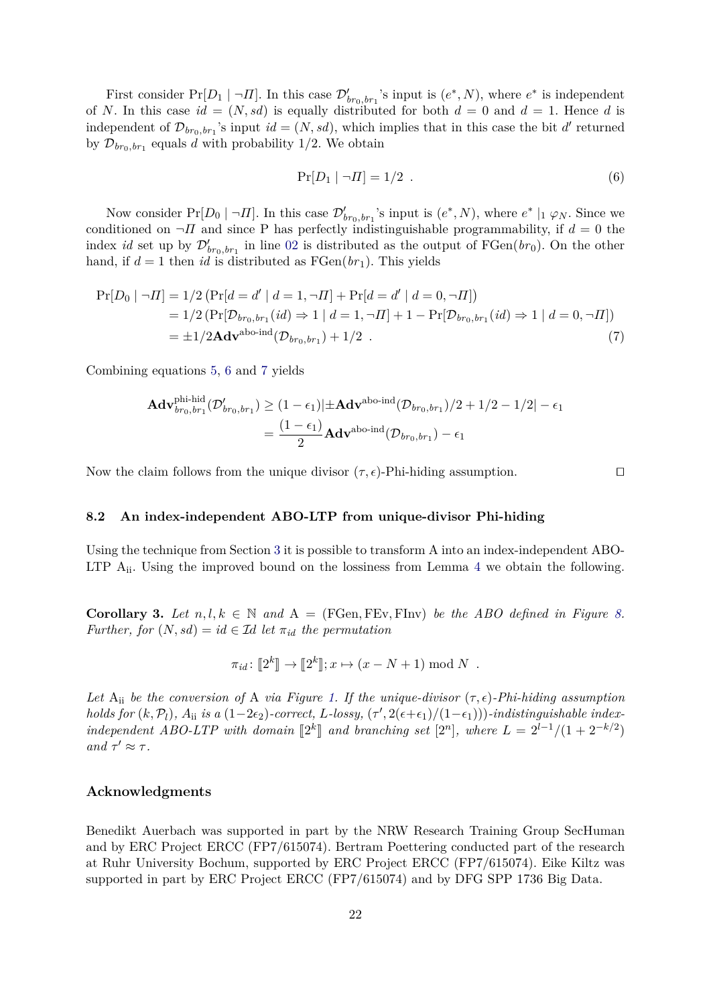First consider  $Pr[D_1 | \neg \Pi]$ . In this case  $\mathcal{D}'_{br_0,br_1}$ 's input is  $(e^*, N)$ , where  $e^*$  is independent of *N*. In this case  $id = (N, sd)$  is equally distributed for both  $d = 0$  and  $d = 1$ . Hence *d* is independent of  $\mathcal{D}_{b r_0, b r_1}$ 's input  $id = (N, sd)$ , which implies that in this case the bit *d*' returned by  $\mathcal{D}_{b r_0, b r_1}$  equals *d* with probability 1/2. We obtain

$$
\Pr[D_1 \mid \neg \Pi] = 1/2 \tag{6}
$$

Now consider  $Pr[D_0 \mid \neg H]$ . In this case  $\mathcal{D}'_{bro, bro}$  's input is  $(e^*, N)$ , where  $e^* \mid_1 \varphi_N$ . Since we conditioned on  $\neg$ *Π* and since P has perfectly indistinguishable programmability, if  $d = 0$  the index *id* set up by  $\mathcal{D}'_{b r_0, b r_1}$  in line [02](#page-21-1) is distributed as the output of FGen(*br*<sub>0</sub>). On the other hand, if  $d = 1$  then *id* is distributed as  $FGen(br_1)$ . This yields

$$
\Pr[D_0 \mid \neg \Pi] = 1/2 \left( \Pr[d = d' \mid d = 1, \neg \Pi] + \Pr[d = d' \mid d = 0, \neg \Pi] \right)
$$
  
= 1/2 \left( \Pr[\mathcal{D}\_{b r\_0, b r\_1}(id) \Rightarrow 1 \mid d = 1, \neg \Pi] + 1 - \Pr[\mathcal{D}\_{b r\_0, b r\_1}(id) \Rightarrow 1 \mid d = 0, \neg \Pi] \right)  
= \pm 1/2 \mathbf{Adv}^{abo-ind}(\mathcal{D}\_{b r\_0, b r\_1}) + 1/2 . \tag{7}

Combining equations [5,](#page-21-2) [6](#page-22-0) and [7](#page-22-1) yields

$$
\mathbf{Adv}_{br_0,br_1}^{\text{phi-ind}}(\mathcal{D}_{br_0,br_1}') \ge (1 - \epsilon_1)|\pm \mathbf{Adv}^{\text{abo-ind}}(\mathcal{D}_{br_0,br_1})/2 + 1/2 - 1/2| - \epsilon_1
$$

$$
= \frac{(1 - \epsilon_1)}{2} \mathbf{Adv}^{\text{abo-ind}}(\mathcal{D}_{br_0,br_1}) - \epsilon_1
$$

Now the claim follows from the unique divisor  $(\tau, \epsilon)$ -Phi-hiding assumption.

### **8.2 An index-independent ABO-LTP from unique-divisor Phi-hiding**

Using the technique from Section [3](#page-8-7) it is possible to transform A into an index-independent ABO-LTP  $A_{ii}$ . Using the improved bound on the lossiness from Lemma [4](#page-12-1) we obtain the following.

**Corollary 3.** Let  $n, l, k \in \mathbb{N}$  and  $A = (FGen, FEv, FINv)$  be the ABO defined in Figure [8.](#page-20-1) *Further, for*  $(N, sd) = id \in \mathcal{I}d$  *let*  $\pi_{id}$  *the permutation* 

$$
\pi_{id} \colon [2^k] \to [2^k]; x \mapsto (x - N + 1) \bmod N .
$$

Let  $A_{ii}$  be the conversion of A via Figure [1.](#page-8-0) If the unique-divisor  $(\tau, \epsilon)$ -Phi-hiding assumption *holds for*  $(k, P_l)$ ,  $A_{ii}$  *is a* (1-2 $\epsilon_2$ )*-correct, L-lossy,*  $(\tau', 2(\epsilon+\epsilon_1)/(1-\epsilon_1))$ )*-indistinguishable indexindependent ABO-LTP with domain*  $[2^k]$  *and branching set*  $[2^n]$ *, where*  $L = 2^{l-1}/(1 + 2^{-k/2})$ *and*  $\tau' \approx \tau$ *.* 

## **Acknowledgments**

Benedikt Auerbach was supported in part by the NRW Research Training Group SecHuman and by ERC Project ERCC (FP7/615074). Bertram Poettering conducted part of the research at Ruhr University Bochum, supported by ERC Project ERCC (FP7/615074). Eike Kiltz was supported in part by ERC Project ERCC (FP7/615074) and by DFG SPP 1736 Big Data.

<span id="page-22-1"></span><span id="page-22-0"></span>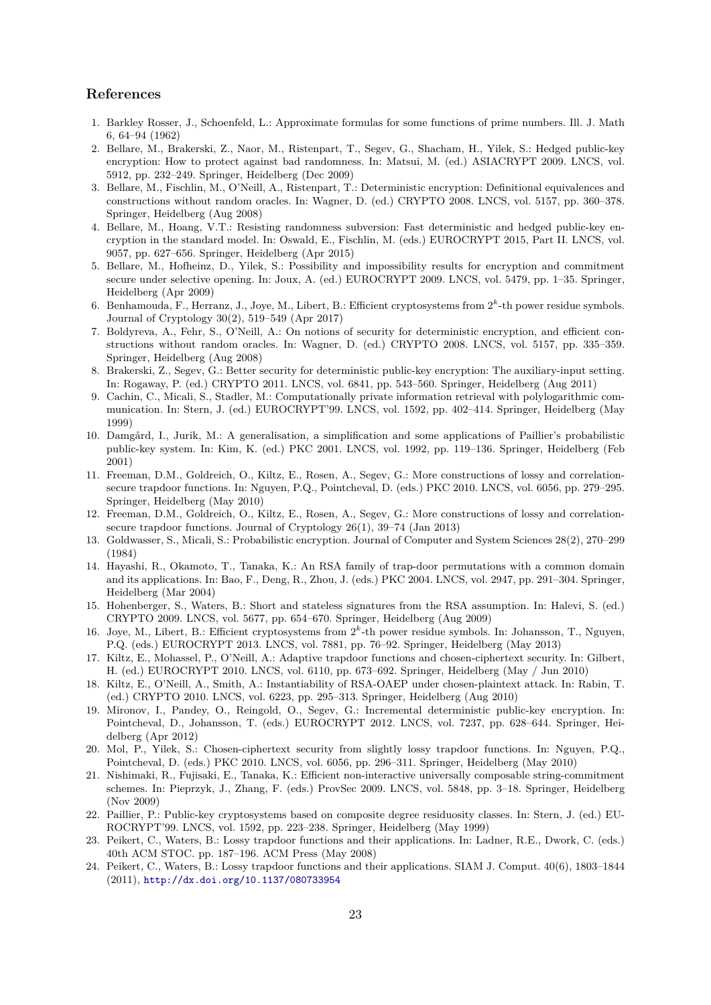# **References**

- <span id="page-23-23"></span>1. Barkley Rosser, J., Schoenfeld, L.: Approximate formulas for some functions of prime numbers. Ill. J. Math 6, 64–94 (1962)
- <span id="page-23-4"></span>2. Bellare, M., Brakerski, Z., Naor, M., Ristenpart, T., Segev, G., Shacham, H., Yilek, S.: Hedged public-key encryption: How to protect against bad randomness. In: Matsui, M. (ed.) ASIACRYPT 2009. LNCS, vol. 5912, pp. 232–249. Springer, Heidelberg (Dec 2009)
- <span id="page-23-12"></span>3. Bellare, M., Fischlin, M., O'Neill, A., Ristenpart, T.: Deterministic encryption: Definitional equivalences and constructions without random oracles. In: Wagner, D. (ed.) CRYPTO 2008. LNCS, vol. 5157, pp. 360–378. Springer, Heidelberg (Aug 2008)
- <span id="page-23-5"></span>4. Bellare, M., Hoang, V.T.: Resisting randomness subversion: Fast deterministic and hedged public-key encryption in the standard model. In: Oswald, E., Fischlin, M. (eds.) EUROCRYPT 2015, Part II. LNCS, vol. 9057, pp. 627–656. Springer, Heidelberg (Apr 2015)
- <span id="page-23-6"></span>5. Bellare, M., Hofheinz, D., Yilek, S.: Possibility and impossibility results for encryption and commitment secure under selective opening. In: Joux, A. (ed.) EUROCRYPT 2009. LNCS, vol. 5479, pp. 1–35. Springer, Heidelberg (Apr 2009)
- <span id="page-23-17"></span>6. Benhamouda, F., Herranz, J., Joye, M., Libert, B.: Efficient cryptosystems from 2 *k* -th power residue symbols. Journal of Cryptology 30(2), 519–549 (Apr 2017)
- <span id="page-23-2"></span>7. Boldyreva, A., Fehr, S., O'Neill, A.: On notions of security for deterministic encryption, and efficient constructions without random oracles. In: Wagner, D. (ed.) CRYPTO 2008. LNCS, vol. 5157, pp. 335–359. Springer, Heidelberg (Aug 2008)
- <span id="page-23-13"></span>8. Brakerski, Z., Segev, G.: Better security for deterministic public-key encryption: The auxiliary-input setting. In: Rogaway, P. (ed.) CRYPTO 2011. LNCS, vol. 6841, pp. 543–560. Springer, Heidelberg (Aug 2011)
- <span id="page-23-10"></span>9. Cachin, C., Micali, S., Stadler, M.: Computationally private information retrieval with polylogarithmic communication. In: Stern, J. (ed.) EUROCRYPT'99. LNCS, vol. 1592, pp. 402–414. Springer, Heidelberg (May 1999)
- <span id="page-23-22"></span>10. Damgård, I., Jurik, M.: A generalisation, a simplification and some applications of Paillier's probabilistic public-key system. In: Kim, K. (ed.) PKC 2001. LNCS, vol. 1992, pp. 119–136. Springer, Heidelberg (Feb 2001)
- <span id="page-23-11"></span>11. Freeman, D.M., Goldreich, O., Kiltz, E., Rosen, A., Segev, G.: More constructions of lossy and correlationsecure trapdoor functions. In: Nguyen, P.Q., Pointcheval, D. (eds.) PKC 2010. LNCS, vol. 6056, pp. 279–295. Springer, Heidelberg (May 2010)
- <span id="page-23-9"></span>12. Freeman, D.M., Goldreich, O., Kiltz, E., Rosen, A., Segev, G.: More constructions of lossy and correlationsecure trapdoor functions. Journal of Cryptology 26(1), 39–74 (Jan 2013)
- <span id="page-23-18"></span>13. Goldwasser, S., Micali, S.: Probabilistic encryption. Journal of Computer and System Sciences 28(2), 270–299 (1984)
- <span id="page-23-19"></span>14. Hayashi, R., Okamoto, T., Tanaka, K.: An RSA family of trap-door permutations with a common domain and its applications. In: Bao, F., Deng, R., Zhou, J. (eds.) PKC 2004. LNCS, vol. 2947, pp. 291–304. Springer, Heidelberg (Mar 2004)
- <span id="page-23-20"></span>15. Hohenberger, S., Waters, B.: Short and stateless signatures from the RSA assumption. In: Halevi, S. (ed.) CRYPTO 2009. LNCS, vol. 5677, pp. 654–670. Springer, Heidelberg (Aug 2009)
- <span id="page-23-16"></span>16. Joye, M., Libert, B.: Efficient cryptosystems from 2 *k* -th power residue symbols. In: Johansson, T., Nguyen, P.Q. (eds.) EUROCRYPT 2013. LNCS, vol. 7881, pp. 76–92. Springer, Heidelberg (May 2013)
- <span id="page-23-8"></span>17. Kiltz, E., Mohassel, P., O'Neill, A.: Adaptive trapdoor functions and chosen-ciphertext security. In: Gilbert, H. (ed.) EUROCRYPT 2010. LNCS, vol. 6110, pp. 673–692. Springer, Heidelberg (May / Jun 2010)
- <span id="page-23-3"></span>18. Kiltz, E., O'Neill, A., Smith, A.: Instantiability of RSA-OAEP under chosen-plaintext attack. In: Rabin, T. (ed.) CRYPTO 2010. LNCS, vol. 6223, pp. 295–313. Springer, Heidelberg (Aug 2010)
- <span id="page-23-14"></span>19. Mironov, I., Pandey, O., Reingold, O., Segev, G.: Incremental deterministic public-key encryption. In: Pointcheval, D., Johansson, T. (eds.) EUROCRYPT 2012. LNCS, vol. 7237, pp. 628–644. Springer, Heidelberg (Apr 2012)
- <span id="page-23-15"></span>20. Mol, P., Yilek, S.: Chosen-ciphertext security from slightly lossy trapdoor functions. In: Nguyen, P.Q., Pointcheval, D. (eds.) PKC 2010. LNCS, vol. 6056, pp. 296–311. Springer, Heidelberg (May 2010)
- <span id="page-23-7"></span>21. Nishimaki, R., Fujisaki, E., Tanaka, K.: Efficient non-interactive universally composable string-commitment schemes. In: Pieprzyk, J., Zhang, F. (eds.) ProvSec 2009. LNCS, vol. 5848, pp. 3–18. Springer, Heidelberg (Nov 2009)
- <span id="page-23-21"></span>22. Paillier, P.: Public-key cryptosystems based on composite degree residuosity classes. In: Stern, J. (ed.) EU-ROCRYPT'99. LNCS, vol. 1592, pp. 223–238. Springer, Heidelberg (May 1999)
- <span id="page-23-0"></span>23. Peikert, C., Waters, B.: Lossy trapdoor functions and their applications. In: Ladner, R.E., Dwork, C. (eds.) 40th ACM STOC. pp. 187–196. ACM Press (May 2008)
- <span id="page-23-1"></span>24. Peikert, C., Waters, B.: Lossy trapdoor functions and their applications. SIAM J. Comput. 40(6), 1803–1844 (2011), <http://dx.doi.org/10.1137/080733954>